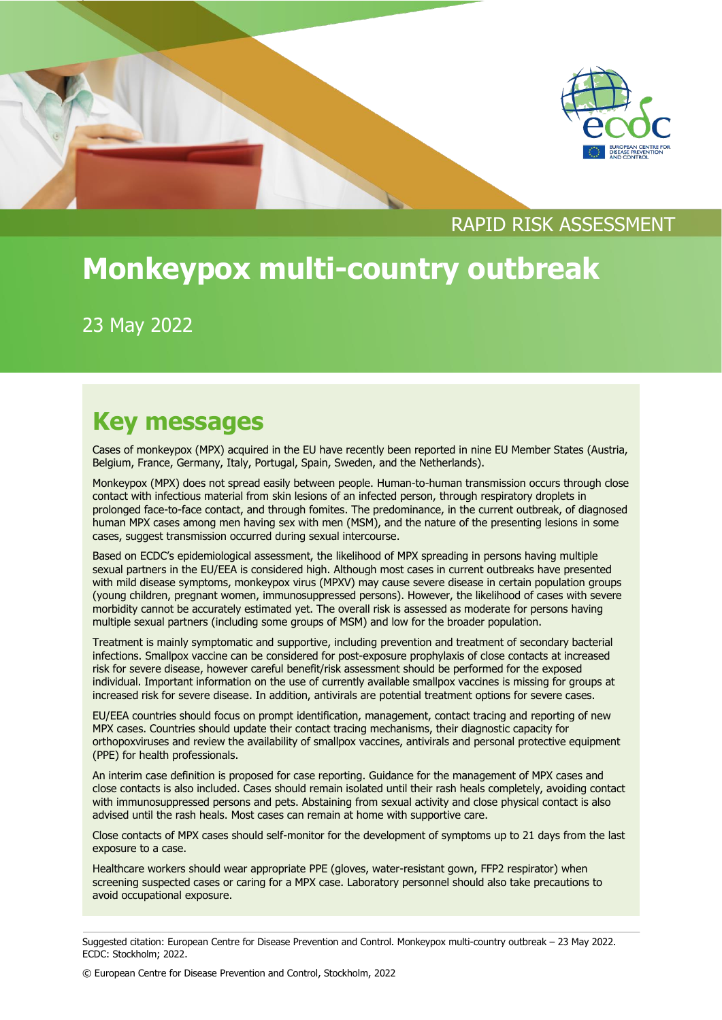



# RAPID RISK ASSESSMENT

# **Monkeypox multi-country outbreak**

23 May 2022

# **Key messages**

Cases of monkeypox (MPX) acquired in the EU have recently been reported in nine EU Member States (Austria, Belgium, France, Germany, Italy, Portugal, Spain, Sweden, and the Netherlands).

Monkeypox (MPX) does not spread easily between people. Human-to-human transmission occurs through close contact with infectious material from skin lesions of an infected person, through respiratory droplets in prolonged face-to-face contact, and through fomites. The predominance, in the current outbreak, of diagnosed human MPX cases among men having sex with men (MSM), and the nature of the presenting lesions in some cases, suggest transmission occurred during sexual intercourse.

Based on ECDC's epidemiological assessment, the likelihood of MPX spreading in persons having multiple sexual partners in the EU/EEA is considered high. Although most cases in current outbreaks have presented with mild disease symptoms, monkeypox virus (MPXV) may cause severe disease in certain population groups (young children, pregnant women, immunosuppressed persons). However, the likelihood of cases with severe morbidity cannot be accurately estimated yet. The overall risk is assessed as moderate for persons having multiple sexual partners (including some groups of MSM) and low for the broader population.

Treatment is mainly symptomatic and supportive, including prevention and treatment of secondary bacterial infections. Smallpox vaccine can be considered for post-exposure prophylaxis of close contacts at increased risk for severe disease, however careful benefit/risk assessment should be performed for the exposed individual. Important information on the use of currently available smallpox vaccines is missing for groups at increased risk for severe disease. In addition, antivirals are potential treatment options for severe cases.

EU/EEA countries should focus on prompt identification, management, contact tracing and reporting of new MPX cases. Countries should update their contact tracing mechanisms, their diagnostic capacity for orthopoxviruses and review the availability of smallpox vaccines, antivirals and personal protective equipment (PPE) for health professionals.

An interim case definition is proposed for case reporting. Guidance for the management of MPX cases and close contacts is also included. Cases should remain isolated until their rash heals completely, avoiding contact with immunosuppressed persons and pets. Abstaining from sexual activity and close physical contact is also advised until the rash heals. Most cases can remain at home with supportive care.

Close contacts of MPX cases should self-monitor for the development of symptoms up to 21 days from the last exposure to a case.

Healthcare workers should wear appropriate PPE (gloves, water-resistant gown, FFP2 respirator) when screening suspected cases or caring for a MPX case. Laboratory personnel should also take precautions to avoid occupational exposure.

© European Centre for Disease Prevention and Control, Stockholm, 2022

Suggested citation: European Centre for Disease Prevention and Control. Monkeypox multi-country outbreak – 23 May 2022. ECDC: Stockholm; 2022.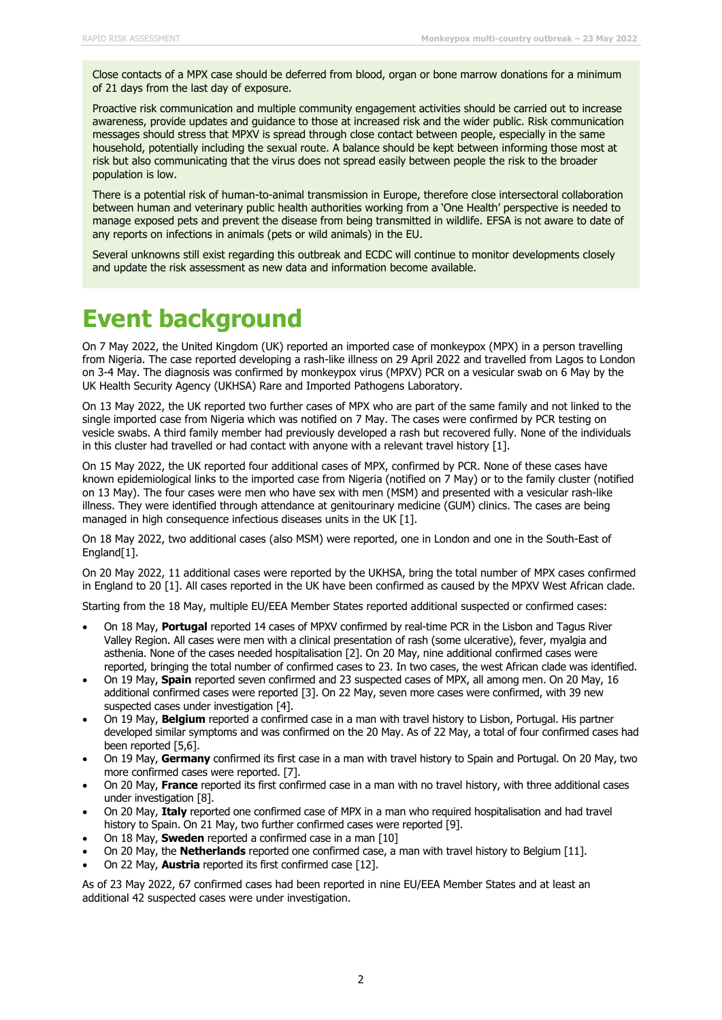Close contacts of a MPX case should be deferred from blood, organ or bone marrow donations for a minimum of 21 days from the last day of exposure.

Proactive risk communication and multiple community engagement activities should be carried out to increase awareness, provide updates and guidance to those at increased risk and the wider public. Risk communication messages should stress that MPXV is spread through close contact between people, especially in the same household, potentially including the sexual route. A balance should be kept between informing those most at risk but also communicating that the virus does not spread easily between people the risk to the broader population is low.

There is a potential risk of human-to-animal transmission in Europe, therefore close intersectoral collaboration between human and veterinary public health authorities working from a 'One Health' perspective is needed to manage exposed pets and prevent the disease from being transmitted in wildlife. EFSA is not aware to date of any reports on infections in animals (pets or wild animals) in the EU.

Several unknowns still exist regarding this outbreak and ECDC will continue to monitor developments closely and update the risk assessment as new data and information become available.

# **Event background**

On 7 May 2022, the United Kingdom (UK) reported an imported case of monkeypox (MPX) in a person travelling from Nigeria. The case reported developing a rash-like illness on 29 April 2022 and travelled from Lagos to London on 3-4 May. The diagnosis was confirmed by monkeypox virus (MPXV) PCR on a vesicular swab on 6 May by the UK Health Security Agency (UKHSA) Rare and Imported Pathogens Laboratory.

On 13 May 2022, the UK reported two further cases of MPX who are part of the same family and not linked to the single imported case from Nigeria which was notified on 7 May. The cases were confirmed by PCR testing on vesicle swabs. A third family member had previously developed a rash but recovered fully. None of the individuals in this cluster had travelled or had contact with anyone with a relevant travel history [1].

On 15 May 2022, the UK reported four additional cases of MPX, confirmed by PCR. None of these cases have known epidemiological links to the imported case from Nigeria (notified on 7 May) or to the family cluster (notified on 13 May). The four cases were men who have sex with men (MSM) and presented with a vesicular rash-like illness. They were identified through attendance at genitourinary medicine (GUM) clinics. The cases are being managed in high consequence infectious diseases units in the UK [1].

On 18 May 2022, two additional cases (also MSM) were reported, one in London and one in the South-East of England[1].

On 20 May 2022, 11 additional cases were reported by the UKHSA, bring the total number of MPX cases confirmed in England to 20 [1]. All cases reported in the UK have been confirmed as caused by the MPXV West African clade.

Starting from the 18 May, multiple EU/EEA Member States reported additional suspected or confirmed cases:

- On 18 May, **Portugal** reported 14 cases of MPXV confirmed by real-time PCR in the Lisbon and Tagus River Valley Region. All cases were men with a clinical presentation of rash (some ulcerative), fever, myalgia and asthenia. None of the cases needed hospitalisation [2]. On 20 May, nine additional confirmed cases were reported, bringing the total number of confirmed cases to 23. In two cases, the west African clade was identified.
- On 19 May, **Spain** reported seven confirmed and 23 suspected cases of MPX, all among men. On 20 May, 16 additional confirmed cases were reported [3]. On 22 May, seven more cases were confirmed, with 39 new suspected cases under investigation [4].
- On 19 May, **Belgium** reported a confirmed case in a man with travel history to Lisbon, Portugal. His partner developed similar symptoms and was confirmed on the 20 May. As of 22 May, a total of four confirmed cases had been reported [5,6].
- On 19 May, **Germany** confirmed its first case in a man with travel history to Spain and Portugal. On 20 May, two more confirmed cases were reported. [7].
- On 20 May, **France** reported its first confirmed case in a man with no travel history, with three additional cases under investigation [8].
- On 20 May, **Italy** reported one confirmed case of MPX in a man who required hospitalisation and had travel history to Spain. On 21 May, two further confirmed cases were reported [9].
- On 18 May, **Sweden** reported a confirmed case in a man [10]
- On 20 May, the **Netherlands** reported one confirmed case, a man with travel history to Belgium [11].
- On 22 May, **Austria** reported its first confirmed case [12].

As of 23 May 2022, 67 confirmed cases had been reported in nine EU/EEA Member States and at least an additional 42 suspected cases were under investigation.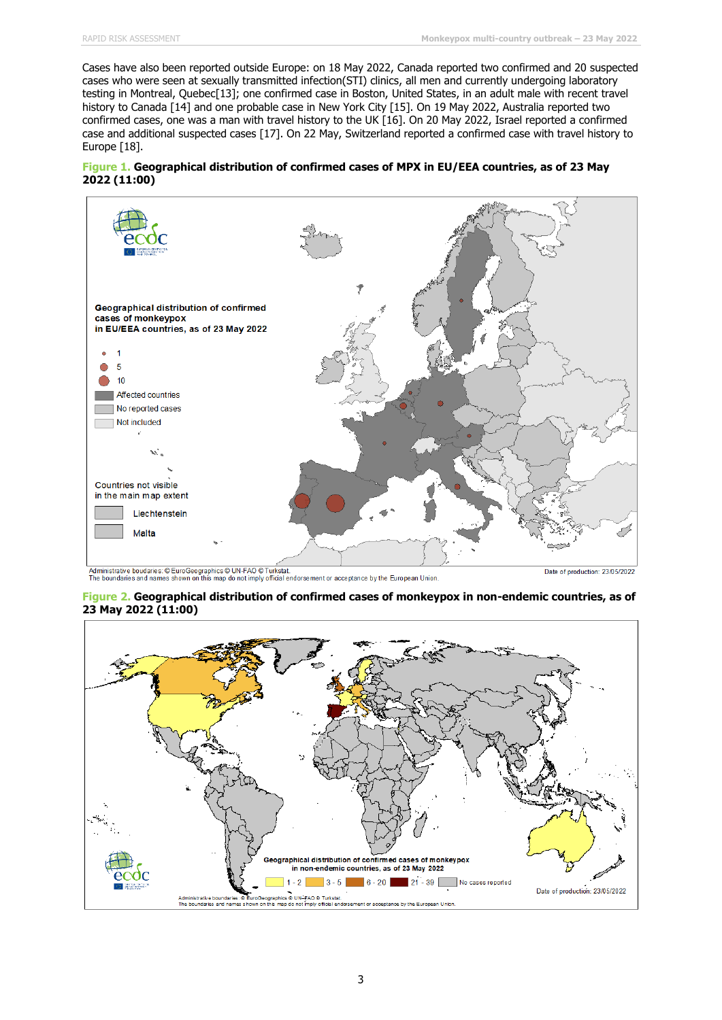Cases have also been reported outside Europe: on 18 May 2022, Canada reported two confirmed and 20 suspected cases who were seen at sexually transmitted infection(STI) clinics, all men and currently undergoing laboratory testing in Montreal, Quebec[13]; one confirmed case in Boston, United States, in an adult male with recent travel history to Canada [14] and one probable case in New York City [15]. On 19 May 2022, Australia reported two confirmed cases, one was a man with travel history to the UK [16]. On 20 May 2022, Israel reported a confirmed case and additional suspected cases [17]. On 22 May, Switzerland reported a confirmed case with travel history to Europe [18].





L<br>Administrative boudaries: © EuroGeographics © UN-FAO © Turkstat.<br>The boundaries and names shown on this map do not imply official endorsement or acceptance by the European Union

Date of production: 23/05/2022

#### **Figure 2. Geographical distribution of confirmed cases of monkeypox in non-endemic countries, as of 23 May 2022 (11:00)**

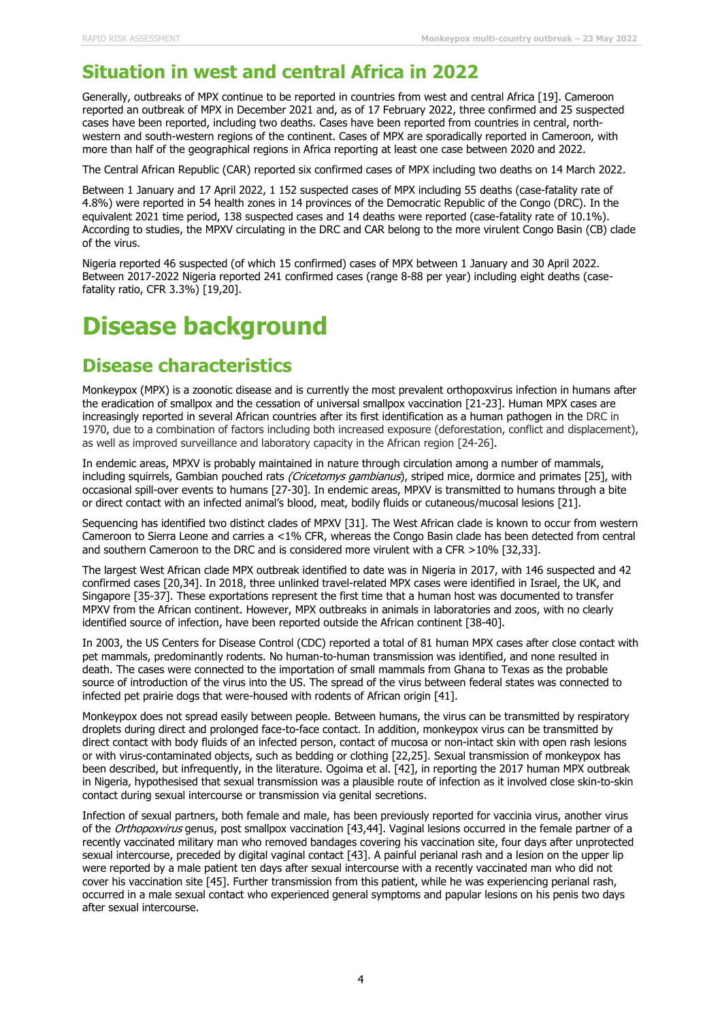## **Situation in west and central Africa in 2022**

Generally, outbreaks of MPX continue to be reported in countries from west and central Africa [19]. Cameroon reported an outbreak of MPX in December 2021 and, as of 17 February 2022, three confirmed and 25 suspected cases have been reported, including two deaths. Cases have been reported from countries in central, northwestern and south-western regions of the continent. Cases of MPX are sporadically reported in Cameroon, with more than half of the geographical regions in Africa reporting at least one case between 2020 and 2022.

The Central African Republic (CAR) reported six confirmed cases of MPX including two deaths on 14 March 2022.

Between 1 January and 17 April 2022, 1 152 suspected cases of MPX including 55 deaths (case-fatality rate of 4.8%) were reported in 54 health zones in 14 provinces of the Democratic Republic of the Congo (DRC). In the equivalent 2021 time period, 138 suspected cases and 14 deaths were reported (case-fatality rate of 10.1%). According to studies, the MPXV circulating in the DRC and CAR belong to the more virulent Congo Basin (CB) clade of the virus.

Nigeria reported 46 suspected (of which 15 confirmed) cases of MPX between 1 January and 30 April 2022. Between 2017-2022 Nigeria reported 241 confirmed cases (range 8-88 per year) including eight deaths (casefatality ratio, CFR 3.3%) [19,20].

# **Disease background**

# **Disease characteristics**

Monkeypox (MPX) is a zoonotic disease and is currently the most prevalent orthopoxvirus infection in humans after the eradication of smallpox and the cessation of universal smallpox vaccination [21-23]. Human MPX cases are increasingly reported in several African countries after its first identification as a human pathogen in the DRC in 1970, due to a combination of factors including both increased exposure (deforestation, conflict and displacement), as well as improved surveillance and laboratory capacity in the African region [24-26].

In endemic areas, MPXV is probably maintained in nature through circulation among a number of mammals, including squirrels, Gambian pouched rats (Cricetomys gambianus), striped mice, dormice and primates [25], with occasional spill-over events to humans [27-30]. In endemic areas, MPXV is transmitted to humans through a bite or direct contact with an infected animal's blood, meat, bodily fluids or cutaneous/mucosal lesions [21].

Sequencing has identified two distinct clades of MPXV [31]. The West African clade is known to occur from western Cameroon to Sierra Leone and carries a <1% CFR, whereas the Congo Basin clade has been detected from central and southern Cameroon to the DRC and is considered more virulent with a CFR >10% [32,33].

The largest West African clade MPX outbreak identified to date was in Nigeria in 2017, with 146 suspected and 42 confirmed cases [20,34]. In 2018, three unlinked travel-related MPX cases were identified in Israel, the UK, and Singapore [35-37]. These exportations represent the first time that a human host was documented to transfer MPXV from the African continent. However, MPX outbreaks in animals in laboratories and zoos, with no clearly identified source of infection, have been reported outside the African continent [38-40].

In 2003, the US Centers for Disease Control (CDC) reported a total of 81 human MPX cases after close contact with pet mammals, predominantly rodents. No human-to-human transmission was identified, and none resulted in death. The cases were connected to the importation of small mammals from Ghana to Texas as the probable source of introduction of the virus into the US. The spread of the virus between federal states was connected to infected pet prairie dogs that were-housed with rodents of African origin [41].

Monkeypox does not spread easily between people. Between humans, the virus can be transmitted by respiratory droplets during direct and prolonged face-to-face contact. In addition, monkeypox virus can be transmitted by direct contact with body fluids of an infected person, contact of mucosa or non-intact skin with open rash lesions or with virus-contaminated objects, such as bedding or clothing [22,25]. Sexual transmission of monkeypox has been described, but infrequently, in the literature. Ogoima et al. [42], in reporting the 2017 human MPX outbreak in Nigeria, hypothesised that sexual transmission was a plausible route of infection as it involved close skin-to-skin contact during sexual intercourse or transmission via genital secretions.

Infection of sexual partners, both female and male, has been previously reported for vaccinia virus, another virus of the Orthopoxvirus genus, post smallpox vaccination [43,44]. Vaginal lesions occurred in the female partner of a recently vaccinated military man who removed bandages covering his vaccination site, four days after unprotected sexual intercourse, preceded by digital vaginal contact [43]. A painful perianal rash and a lesion on the upper lip were reported by a male patient ten days after sexual intercourse with a recently vaccinated man who did not cover his vaccination site [45]. Further transmission from this patient, while he was experiencing perianal rash, occurred in a male sexual contact who experienced general symptoms and papular lesions on his penis two days after sexual intercourse.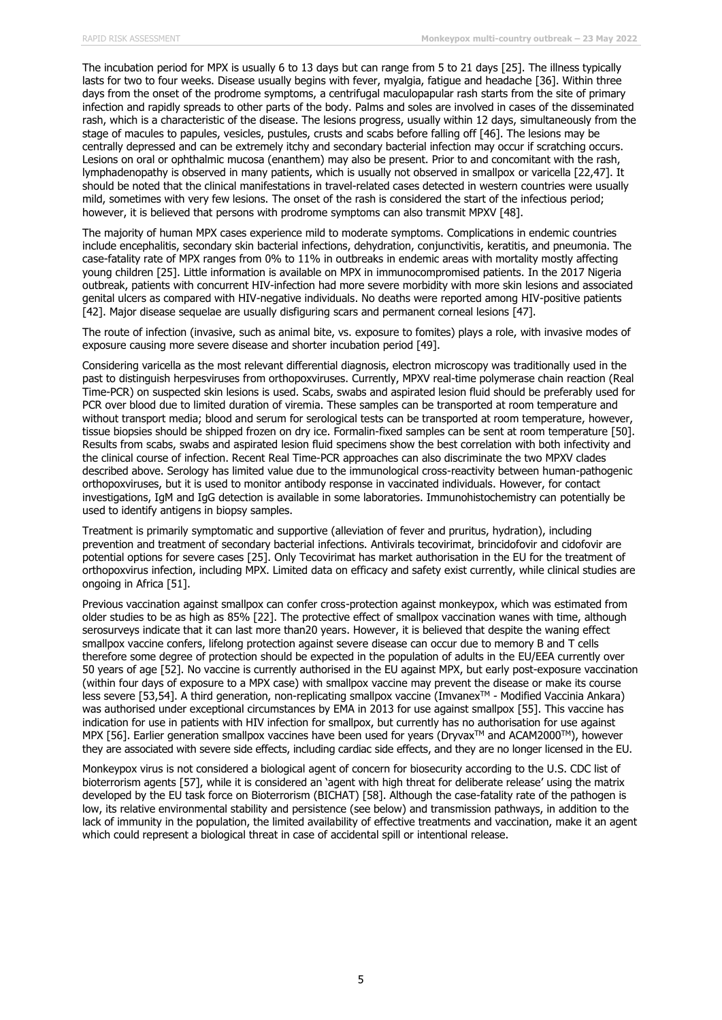The incubation period for MPX is usually 6 to 13 days but can range from 5 to 21 days [25]. The illness typically lasts for two to four weeks. Disease usually begins with fever, myalgia, fatigue and headache [36]. Within three days from the onset of the prodrome symptoms, a centrifugal maculopapular rash starts from the site of primary infection and rapidly spreads to other parts of the body. Palms and soles are involved in cases of the disseminated rash, which is a characteristic of the disease. The lesions progress, usually within 12 days, simultaneously from the stage of macules to papules, vesicles, pustules, crusts and scabs before falling off [46]. The lesions may be centrally depressed and can be extremely itchy and secondary bacterial infection may occur if scratching occurs. Lesions on oral or ophthalmic mucosa (enanthem) may also be present. Prior to and concomitant with the rash, lymphadenopathy is observed in many patients, which is usually not observed in smallpox or varicella [22,47]. It should be noted that the clinical manifestations in travel-related cases detected in western countries were usually mild, sometimes with very few lesions. The onset of the rash is considered the start of the infectious period; however, it is believed that persons with prodrome symptoms can also transmit MPXV [48].

The majority of human MPX cases experience mild to moderate symptoms. Complications in endemic countries include encephalitis, secondary skin bacterial infections, dehydration, conjunctivitis, keratitis, and pneumonia. The case-fatality rate of MPX ranges from 0% to 11% in outbreaks in endemic areas with mortality mostly affecting young children [25]. Little information is available on MPX in immunocompromised patients. In the 2017 Nigeria outbreak, patients with concurrent HIV-infection had more severe morbidity with more skin lesions and associated genital ulcers as compared with HIV-negative individuals. No deaths were reported among HIV-positive patients [42]. Major disease sequelae are usually disfiguring scars and permanent corneal lesions [47].

The route of infection (invasive, such as animal bite, vs. exposure to fomites) plays a role, with invasive modes of exposure causing more severe disease and shorter incubation period [49].

Considering varicella as the most relevant differential diagnosis, electron microscopy was traditionally used in the past to distinguish herpesviruses from orthopoxviruses. Currently, MPXV real-time polymerase chain reaction (Real Time-PCR) on suspected skin lesions is used. Scabs, swabs and aspirated lesion fluid should be preferably used for PCR over blood due to limited duration of viremia. These samples can be transported at room temperature and without transport media; blood and serum for serological tests can be transported at room temperature, however, tissue biopsies should be shipped frozen on dry ice. Formalin-fixed samples can be sent at room temperature [50]. Results from scabs, swabs and aspirated lesion fluid specimens show the best correlation with both infectivity and the clinical course of infection. Recent Real Time-PCR approaches can also discriminate the two MPXV clades described above. Serology has limited value due to the immunological cross-reactivity between human-pathogenic orthopoxviruses, but it is used to monitor antibody response in vaccinated individuals. However, for contact investigations, IgM and IgG detection is available in some laboratories. Immunohistochemistry can potentially be used to identify antigens in biopsy samples.

Treatment is primarily symptomatic and supportive (alleviation of fever and pruritus, hydration), including prevention and treatment of secondary bacterial infections. Antivirals tecovirimat, brincidofovir and cidofovir are potential options for severe cases [25]. Only Tecovirimat has market authorisation in the EU for the treatment of orthopoxvirus infection, including MPX. Limited data on efficacy and safety exist currently, while clinical studies are ongoing in Africa [51].

Previous vaccination against smallpox can confer cross-protection against monkeypox, which was estimated from older studies to be as high as 85% [22]. The protective effect of smallpox vaccination wanes with time, although serosurveys indicate that it can last more than20 years. However, it is believed that despite the waning effect smallpox vaccine confers, lifelong protection against severe disease can occur due to memory B and T cells therefore some degree of protection should be expected in the population of adults in the EU/EEA currently over 50 years of age [52]. No vaccine is currently authorised in the EU against MPX, but early post-exposure vaccination (within four days of exposure to a MPX case) with smallpox vaccine may prevent the disease or make its course less severe [53,54]. A third generation, non-replicating smallpox vaccine (ImvanexTM - Modified Vaccinia Ankara) was authorised under exceptional circumstances by EMA in 2013 for use against smallpox [55]. This vaccine has indication for use in patients with HIV infection for smallpox, but currently has no authorisation for use against MPX [56]. Earlier generation smallpox vaccines have been used for years (Dryvax™ and ACAM2000™), however they are associated with severe side effects, including cardiac side effects, and they are no longer licensed in the EU.

Monkeypox virus is not considered a biological agent of concern for biosecurity according to the U.S. CDC list of bioterrorism agents [57], while it is considered an 'agent with high threat for deliberate release' using the matrix developed by the EU task force on Bioterrorism (BICHAT) [58]. Although the case-fatality rate of the pathogen is low, its relative environmental stability and persistence (see below) and transmission pathways, in addition to the lack of immunity in the population, the limited availability of effective treatments and vaccination, make it an agent which could represent a biological threat in case of accidental spill or intentional release.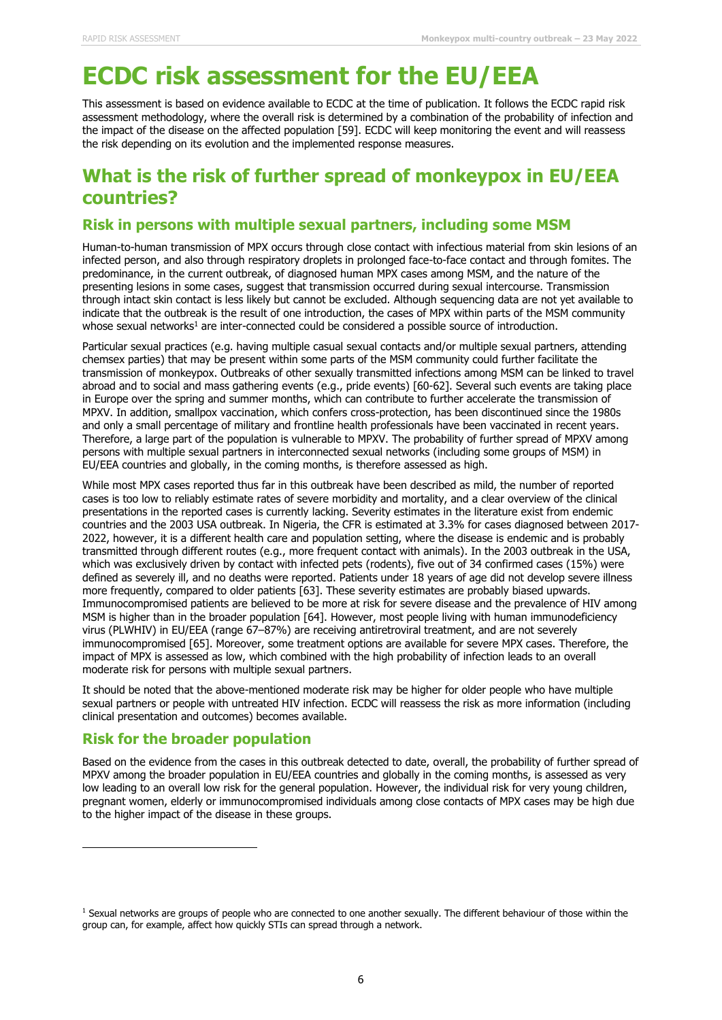# **ECDC risk assessment for the EU/EEA**

This assessment is based on evidence available to ECDC at the time of publication. It follows the ECDC rapid risk assessment methodology, where the overall risk is determined by a combination of the probability of infection and the impact of the disease on the affected population [59]. ECDC will keep monitoring the event and will reassess the risk depending on its evolution and the implemented response measures.

## **What is the risk of further spread of monkeypox in EU/EEA countries?**

### **Risk in persons with multiple sexual partners, including some MSM**

Human-to-human transmission of MPX occurs through close contact with infectious material from skin lesions of an infected person, and also through respiratory droplets in prolonged face-to-face contact and through fomites. The predominance, in the current outbreak, of diagnosed human MPX cases among MSM, and the nature of the presenting lesions in some cases, suggest that transmission occurred during sexual intercourse. Transmission through intact skin contact is less likely but cannot be excluded. Although sequencing data are not yet available to indicate that the outbreak is the result of one introduction, the cases of MPX within parts of the MSM community whose sexual networks<sup>1</sup> are inter-connected could be considered a possible source of introduction.

Particular sexual practices (e.g. having multiple casual sexual contacts and/or multiple sexual partners, attending chemsex parties) that may be present within some parts of the MSM community could further facilitate the transmission of monkeypox. Outbreaks of other sexually transmitted infections among MSM can be linked to travel abroad and to social and mass gathering events (e.g., pride events) [60-62]. Several such events are taking place in Europe over the spring and summer months, which can contribute to further accelerate the transmission of MPXV. In addition, smallpox vaccination, which confers cross-protection, has been discontinued since the 1980s and only a small percentage of military and frontline health professionals have been vaccinated in recent years. Therefore, a large part of the population is vulnerable to MPXV. The probability of further spread of MPXV among persons with multiple sexual partners in interconnected sexual networks (including some groups of MSM) in EU/EEA countries and globally, in the coming months, is therefore assessed as high.

While most MPX cases reported thus far in this outbreak have been described as mild, the number of reported cases is too low to reliably estimate rates of severe morbidity and mortality, and a clear overview of the clinical presentations in the reported cases is currently lacking. Severity estimates in the literature exist from endemic countries and the 2003 USA outbreak. In Nigeria, the CFR is estimated at 3.3% for cases diagnosed between 2017- 2022, however, it is a different health care and population setting, where the disease is endemic and is probably transmitted through different routes (e.g., more frequent contact with animals). In the 2003 outbreak in the USA, which was exclusively driven by contact with infected pets (rodents), five out of 34 confirmed cases (15%) were defined as severely ill, and no deaths were reported. Patients under 18 years of age did not develop severe illness more frequently, compared to older patients [63]. These severity estimates are probably biased upwards. Immunocompromised patients are believed to be more at risk for severe disease and the prevalence of HIV among MSM is higher than in the broader population [64]. However, most people living with human immunodeficiency virus (PLWHIV) in EU/EEA (range 67–87%) are receiving antiretroviral treatment, and are not severely immunocompromised [65]. Moreover, some treatment options are available for severe MPX cases. Therefore, the impact of MPX is assessed as low, which combined with the high probability of infection leads to an overall moderate risk for persons with multiple sexual partners.

It should be noted that the above-mentioned moderate risk may be higher for older people who have multiple sexual partners or people with untreated HIV infection. ECDC will reassess the risk as more information (including clinical presentation and outcomes) becomes available.

### **Risk for the broader population**

Based on the evidence from the cases in this outbreak detected to date, overall, the probability of further spread of MPXV among the broader population in EU/EEA countries and globally in the coming months, is assessed as very low leading to an overall low risk for the general population. However, the individual risk for very young children, pregnant women, elderly or immunocompromised individuals among close contacts of MPX cases may be high due to the higher impact of the disease in these groups.

<sup>&</sup>lt;sup>1</sup> Sexual networks are groups of people who are connected to one another sexually. The different behaviour of those within the group can, for example, affect how quickly STIs can spread through a network.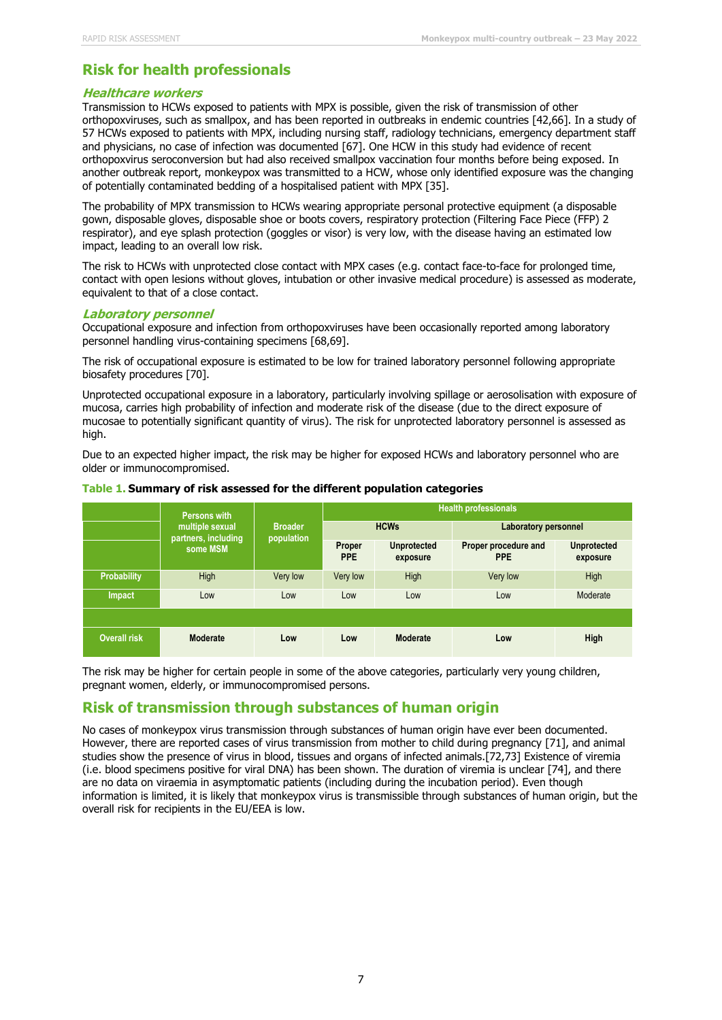## **Risk for health professionals**

#### **Healthcare workers**

Transmission to HCWs exposed to patients with MPX is possible, given the risk of transmission of other orthopoxviruses, such as smallpox, and has been reported in outbreaks in endemic countries [42,66]. In a study of 57 HCWs exposed to patients with MPX, including nursing staff, radiology technicians, emergency department staff and physicians, no case of infection was documented [67]. One HCW in this study had evidence of recent orthopoxvirus seroconversion but had also received smallpox vaccination four months before being exposed. In another outbreak report, monkeypox was transmitted to a HCW, whose only identified exposure was the changing of potentially contaminated bedding of a hospitalised patient with MPX [35].

The probability of MPX transmission to HCWs wearing appropriate personal protective equipment (a disposable gown, disposable gloves, disposable shoe or boots covers, respiratory protection (Filtering Face Piece (FFP) 2 respirator), and eye splash protection (goggles or visor) is very low, with the disease having an estimated low impact, leading to an overall low risk.

The risk to HCWs with unprotected close contact with MPX cases (e.g. contact face-to-face for prolonged time, contact with open lesions without gloves, intubation or other invasive medical procedure) is assessed as moderate, equivalent to that of a close contact.

#### **Laboratory personnel**

Occupational exposure and infection from orthopoxviruses have been occasionally reported among laboratory personnel handling virus-containing specimens [68,69].

The risk of occupational exposure is estimated to be low for trained laboratory personnel following appropriate biosafety procedures [70].

Unprotected occupational exposure in a laboratory, particularly involving spillage or aerosolisation with exposure of mucosa, carries high probability of infection and moderate risk of the disease (due to the direct exposure of mucosae to potentially significant quantity of virus). The risk for unprotected laboratory personnel is assessed as high.

Due to an expected higher impact, the risk may be higher for exposed HCWs and laboratory personnel who are older or immunocompromised.

|                     | <b>Persons with</b><br>multiple sexual<br>partners, including<br>some MSM | <b>Broader</b><br>population | <b>Health professionals</b> |                                |                                    |                                |
|---------------------|---------------------------------------------------------------------------|------------------------------|-----------------------------|--------------------------------|------------------------------------|--------------------------------|
|                     |                                                                           |                              | <b>HCWs</b>                 |                                | <b>Laboratory personnel</b>        |                                |
|                     |                                                                           |                              | Proper<br><b>PPE</b>        | <b>Unprotected</b><br>exposure | Proper procedure and<br><b>PPE</b> | <b>Unprotected</b><br>exposure |
| <b>Probability</b>  | <b>High</b>                                                               | Very low                     | Very low                    | High                           | Very low                           | High                           |
| Impact              | Low                                                                       | Low                          | Low                         | Low                            | Low                                | Moderate                       |
|                     |                                                                           |                              |                             |                                |                                    |                                |
| <b>Overall risk</b> | Moderate                                                                  | Low                          | Low                         | Moderate                       | Low                                | High                           |

#### **Table 1. Summary of risk assessed for the different population categories**

The risk may be higher for certain people in some of the above categories, particularly very young children, pregnant women, elderly, or immunocompromised persons.

### **Risk of transmission through substances of human origin**

No cases of monkeypox virus transmission through substances of human origin have ever been documented. However, there are reported cases of virus transmission from mother to child during pregnancy [71], and animal studies show the presence of virus in blood, tissues and organs of infected animals.[72,73] Existence of viremia (i.e. blood specimens positive for viral DNA) has been shown. The duration of viremia is unclear [74], and there are no data on viraemia in asymptomatic patients (including during the incubation period). Even though information is limited, it is likely that monkeypox virus is transmissible through substances of human origin, but the overall risk for recipients in the EU/EEA is low.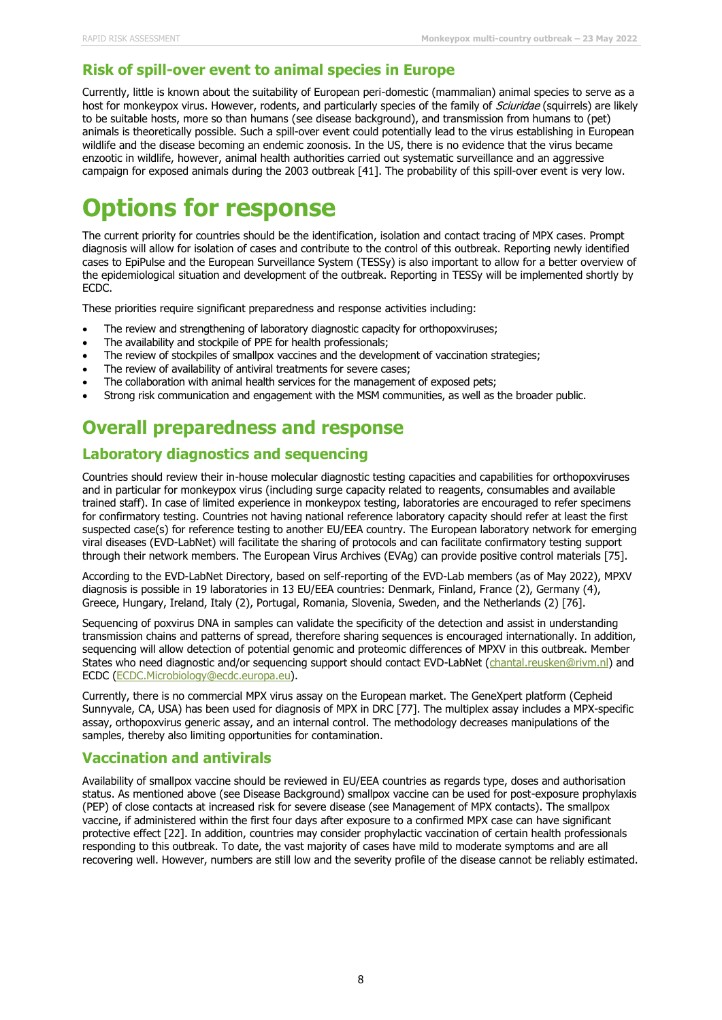### **Risk of spill-over event to animal species in Europe**

Currently, little is known about the suitability of European peri-domestic (mammalian) animal species to serve as a host for monkeypox virus. However, rodents, and particularly species of the family of Sciuridae (squirrels) are likely to be suitable hosts, more so than humans (see disease background), and transmission from humans to (pet) animals is theoretically possible. Such a spill-over event could potentially lead to the virus establishing in European wildlife and the disease becoming an endemic zoonosis. In the US, there is no evidence that the virus became enzootic in wildlife, however, animal health authorities carried out systematic surveillance and an aggressive campaign for exposed animals during the 2003 outbreak [41]. The probability of this spill-over event is very low.

# **Options for response**

The current priority for countries should be the identification, isolation and contact tracing of MPX cases. Prompt diagnosis will allow for isolation of cases and contribute to the control of this outbreak. Reporting newly identified cases to EpiPulse and the European Surveillance System (TESSy) is also important to allow for a better overview of the epidemiological situation and development of the outbreak. Reporting in TESSy will be implemented shortly by ECDC.

These priorities require significant preparedness and response activities including:

- The review and strengthening of laboratory diagnostic capacity for orthopoxviruses;
- The availability and stockpile of PPE for health professionals;
- The review of stockpiles of smallpox vaccines and the development of vaccination strategies;
- The review of availability of antiviral treatments for severe cases;
- The collaboration with animal health services for the management of exposed pets;
- Strong risk communication and engagement with the MSM communities, as well as the broader public.

## **Overall preparedness and response**

### **Laboratory diagnostics and sequencing**

Countries should review their in-house molecular diagnostic testing capacities and capabilities for orthopoxviruses and in particular for monkeypox virus (including surge capacity related to reagents, consumables and available trained staff). In case of limited experience in monkeypox testing, laboratories are encouraged to refer specimens for confirmatory testing. Countries not having national reference laboratory capacity should refer at least the first suspected case(s) for reference testing to another EU/EEA country. The European laboratory network for emerging viral diseases (EVD-LabNet) will facilitate the sharing of protocols and can facilitate confirmatory testing support through their network members. The European Virus Archives (EVAg) can provide positive control materials [75].

According to the EVD-LabNet Directory, based on self-reporting of the EVD-Lab members (as of May 2022), MPXV diagnosis is possible in 19 laboratories in 13 EU/EEA countries: Denmark, Finland, France (2), Germany (4), Greece, Hungary, Ireland, Italy (2), Portugal, Romania, Slovenia, Sweden, and the Netherlands (2) [76].

Sequencing of poxvirus DNA in samples can validate the specificity of the detection and assist in understanding transmission chains and patterns of spread, therefore sharing sequences is encouraged internationally. In addition, sequencing will allow detection of potential genomic and proteomic differences of MPXV in this outbreak. Member States who need diagnostic and/or sequencing support should contact EVD-LabNet [\(chantal.reusken@rivm.nl\)](mailto:chantal.reusken@rivm.nl) and ECDC [\(ECDC.Microbiology@ecdc.europa.eu\)](mailto:ECDC.Microbiology@ecdc.europa.eu).

Currently, there is no commercial MPX virus assay on the European market. The GeneXpert platform (Cepheid Sunnyvale, CA, USA) has been used for diagnosis of MPX in DRC [77]. The multiplex assay includes a MPX-specific assay, orthopoxvirus generic assay, and an internal control. The methodology decreases manipulations of the samples, thereby also limiting opportunities for contamination.

### **Vaccination and antivirals**

Availability of smallpox vaccine should be reviewed in EU/EEA countries as regards type, doses and authorisation status. As mentioned above (see Disease Background) smallpox vaccine can be used for post-exposure prophylaxis (PEP) of close contacts at increased risk for severe disease (see Management of MPX contacts). The smallpox vaccine, if administered within the first four days after exposure to a confirmed MPX case can have significant protective effect [22]. In addition, countries may consider prophylactic vaccination of certain health professionals responding to this outbreak. To date, the vast majority of cases have mild to moderate symptoms and are all recovering well. However, numbers are still low and the severity profile of the disease cannot be reliably estimated.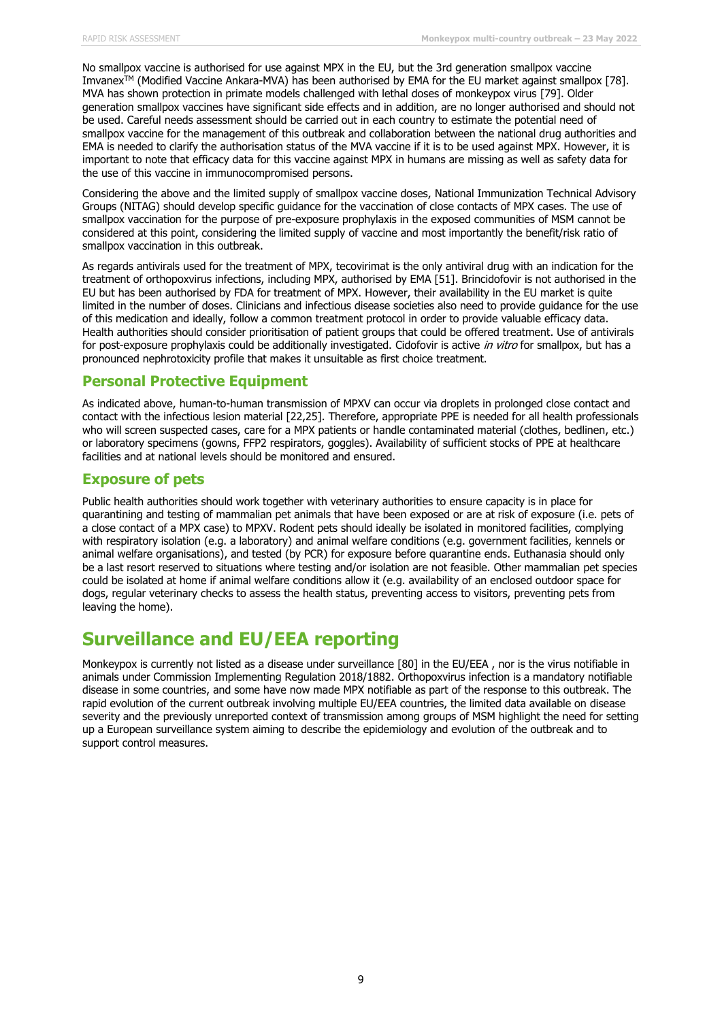No smallpox vaccine is authorised for use against MPX in the EU, but the 3rd generation smallpox vaccine Imvanex<sup>TM</sup> (Modified Vaccine Ankara-MVA) has been authorised by EMA for the EU market against smallpox [78]. MVA has shown protection in primate models challenged with lethal doses of monkeypox virus [79]. Older generation smallpox vaccines have significant side effects and in addition, are no longer authorised and should not be used. Careful needs assessment should be carried out in each country to estimate the potential need of smallpox vaccine for the management of this outbreak and collaboration between the national drug authorities and EMA is needed to clarify the authorisation status of the MVA vaccine if it is to be used against MPX. However, it is important to note that efficacy data for this vaccine against MPX in humans are missing as well as safety data for the use of this vaccine in immunocompromised persons.

Considering the above and the limited supply of smallpox vaccine doses, National Immunization Technical Advisory Groups (NITAG) should develop specific guidance for the vaccination of close contacts of MPX cases. The use of smallpox vaccination for the purpose of pre-exposure prophylaxis in the exposed communities of MSM cannot be considered at this point, considering the limited supply of vaccine and most importantly the benefit/risk ratio of smallpox vaccination in this outbreak.

As regards antivirals used for the treatment of MPX, tecovirimat is the only antiviral drug with an indication for the treatment of orthopoxvirus infections, including MPX, authorised by EMA [51]. Brincidofovir is not authorised in the EU but has been authorised by FDA for treatment of MPX. However, their availability in the EU market is quite limited in the number of doses. Clinicians and infectious disease societies also need to provide guidance for the use of this medication and ideally, follow a common treatment protocol in order to provide valuable efficacy data. Health authorities should consider prioritisation of patient groups that could be offered treatment. Use of antivirals for post-exposure prophylaxis could be additionally investigated. Cidofovir is active in vitro for smallpox, but has a pronounced nephrotoxicity profile that makes it unsuitable as first choice treatment.

### **Personal Protective Equipment**

As indicated above, human-to-human transmission of MPXV can occur via droplets in prolonged close contact and contact with the infectious lesion material [22,25]. Therefore, appropriate PPE is needed for all health professionals who will screen suspected cases, care for a MPX patients or handle contaminated material (clothes, bedlinen, etc.) or laboratory specimens (gowns, FFP2 respirators, goggles). Availability of sufficient stocks of PPE at healthcare facilities and at national levels should be monitored and ensured.

### **Exposure of pets**

Public health authorities should work together with veterinary authorities to ensure capacity is in place for quarantining and testing of mammalian pet animals that have been exposed or are at risk of exposure (i.e. pets of a close contact of a MPX case) to MPXV. Rodent pets should ideally be isolated in monitored facilities, complying with respiratory isolation (e.g. a laboratory) and animal welfare conditions (e.g. government facilities, kennels or animal welfare organisations), and tested (by PCR) for exposure before quarantine ends. Euthanasia should only be a last resort reserved to situations where testing and/or isolation are not feasible. Other mammalian pet species could be isolated at home if animal welfare conditions allow it (e.g. availability of an enclosed outdoor space for dogs, regular veterinary checks to assess the health status, preventing access to visitors, preventing pets from leaving the home).

## **Surveillance and EU/EEA reporting**

Monkeypox is currently not listed as a disease under surveillance [80] in the EU/EEA , nor is the virus notifiable in animals under Commission Implementing Regulation 2018/1882. Orthopoxvirus infection is a mandatory notifiable disease in some countries, and some have now made MPX notifiable as part of the response to this outbreak. The rapid evolution of the current outbreak involving multiple EU/EEA countries, the limited data available on disease severity and the previously unreported context of transmission among groups of MSM highlight the need for setting up a European surveillance system aiming to describe the epidemiology and evolution of the outbreak and to support control measures.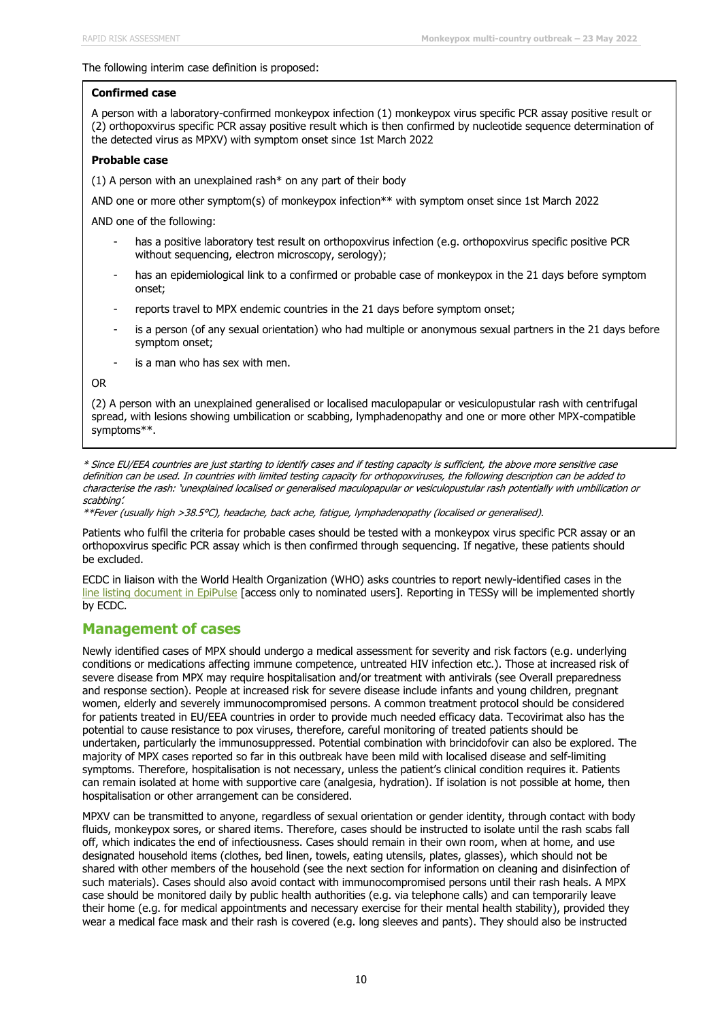#### The following interim case definition is proposed:

#### **Confirmed case**

A person with a laboratory-confirmed monkeypox infection (1) monkeypox virus specific PCR assay positive result or (2) orthopoxvirus specific PCR assay positive result which is then confirmed by nucleotide sequence determination of the detected virus as MPXV) with symptom onset since 1st March 2022

#### **Probable case**

(1) A person with an unexplained rash\* on any part of their body

AND one or more other symptom(s) of monkeypox infection\*\* with symptom onset since 1st March 2022

AND one of the following:

- has a positive laboratory test result on orthopoxvirus infection (e.g. orthopoxvirus specific positive PCR without sequencing, electron microscopy, serology);
- has an epidemiological link to a confirmed or probable case of monkeypox in the 21 days before symptom onset;
- reports travel to MPX endemic countries in the 21 days before symptom onset;
- is a person (of any sexual orientation) who had multiple or anonymous sexual partners in the 21 days before symptom onset;
- is a man who has sex with men.

#### OR

(2) A person with an unexplained generalised or localised maculopapular or vesiculopustular rash with centrifugal spread, with lesions showing umbilication or scabbing, lymphadenopathy and one or more other MPX-compatible symptoms\*\*.

\* Since EU/EEA countries are just starting to identify cases and if testing capacity is sufficient, the above more sensitive case definition can be used. In countries with limited testing capacity for orthopoxviruses, the following description can be added to characterise the rash: 'unexplained localised or generalised maculopapular or vesiculopustular rash potentially with umbilication or scabbing'.

\*\*Fever (usually high >38.5°C), headache, back ache, fatigue, lymphadenopathy (localised or generalised).

Patients who fulfil the criteria for probable cases should be tested with a monkeypox virus specific PCR assay or an orthopoxvirus specific PCR assay which is then confirmed through sequencing. If negative, these patients should be excluded.

ECDC in liaison with the World Health Organization (WHO) asks countries to report newly-identified cases in the [line listing document in EpiPulse](https://epipulse.ecdc.europa.eu/ebs/#/item/details/2022-STI-00005) [access only to nominated users]. Reporting in TESSy will be implemented shortly by ECDC.

### **Management of cases**

Newly identified cases of MPX should undergo a medical assessment for severity and risk factors (e.g. underlying conditions or medications affecting immune competence, untreated HIV infection etc.). Those at increased risk of severe disease from MPX may require hospitalisation and/or treatment with antivirals (see Overall preparedness and response section). People at increased risk for severe disease include infants and young children, pregnant women, elderly and severely immunocompromised persons. A common treatment protocol should be considered for patients treated in EU/EEA countries in order to provide much needed efficacy data. Tecovirimat also has the potential to cause resistance to pox viruses, therefore, careful monitoring of treated patients should be undertaken, particularly the immunosuppressed. Potential combination with brincidofovir can also be explored. The majority of MPX cases reported so far in this outbreak have been mild with localised disease and self-limiting symptoms. Therefore, hospitalisation is not necessary, unless the patient's clinical condition requires it. Patients can remain isolated at home with supportive care (analgesia, hydration). If isolation is not possible at home, then hospitalisation or other arrangement can be considered.

MPXV can be transmitted to anyone, regardless of sexual orientation or gender identity, through contact with body fluids, monkeypox sores, or shared items. Therefore, cases should be instructed to isolate until the rash scabs fall off, which indicates the end of infectiousness. Cases should remain in their own room, when at home, and use designated household items (clothes, bed linen, towels, eating utensils, plates, glasses), which should not be shared with other members of the household (see the next section for information on cleaning and disinfection of such materials). Cases should also avoid contact with immunocompromised persons until their rash heals. A MPX case should be monitored daily by public health authorities (e.g. via telephone calls) and can temporarily leave their home (e.g. for medical appointments and necessary exercise for their mental health stability), provided they wear a medical face mask and their rash is covered (e.g. long sleeves and pants). They should also be instructed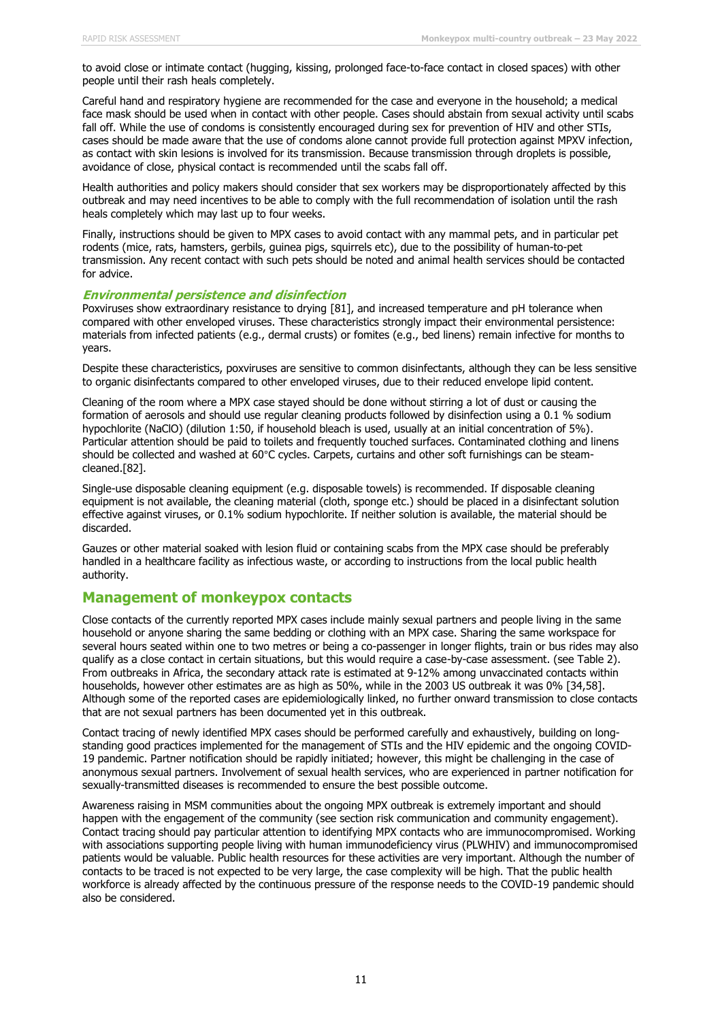to avoid close or intimate contact (hugging, kissing, prolonged face-to-face contact in closed spaces) with other people until their rash heals completely.

Careful hand and respiratory hygiene are recommended for the case and everyone in the household; a medical face mask should be used when in contact with other people. Cases should abstain from sexual activity until scabs fall off. While the use of condoms is consistently encouraged during sex for prevention of HIV and other STIs, cases should be made aware that the use of condoms alone cannot provide full protection against MPXV infection, as contact with skin lesions is involved for its transmission. Because transmission through droplets is possible, avoidance of close, physical contact is recommended until the scabs fall off.

Health authorities and policy makers should consider that sex workers may be disproportionately affected by this outbreak and may need incentives to be able to comply with the full recommendation of isolation until the rash heals completely which may last up to four weeks.

Finally, instructions should be given to MPX cases to avoid contact with any mammal pets, and in particular pet rodents (mice, rats, hamsters, gerbils, guinea pigs, squirrels etc), due to the possibility of human-to-pet transmission. Any recent contact with such pets should be noted and animal health services should be contacted for advice.

#### **Environmental persistence and disinfection**

Poxviruses show extraordinary resistance to drying [81], and increased temperature and pH tolerance when compared with other enveloped viruses. These characteristics strongly impact their environmental persistence: materials from infected patients (e.g., dermal crusts) or fomites (e.g., bed linens) remain infective for months to years.

Despite these characteristics, poxviruses are sensitive to common disinfectants, although they can be less sensitive to organic disinfectants compared to other enveloped viruses, due to their reduced envelope lipid content.

Cleaning of the room where a MPX case stayed should be done without stirring a lot of dust or causing the formation of aerosols and should use regular cleaning products followed by disinfection using a 0.1 % sodium hypochlorite (NaClO) (dilution 1:50, if household bleach is used, usually at an initial concentration of 5%). Particular attention should be paid to toilets and frequently touched surfaces. Contaminated clothing and linens should be collected and washed at 60°C cycles. Carpets, curtains and other soft furnishings can be steamcleaned.[82].

Single-use disposable cleaning equipment (e.g. disposable towels) is recommended. If disposable cleaning equipment is not available, the cleaning material (cloth, sponge etc.) should be placed in a disinfectant solution effective against viruses, or 0.1% sodium hypochlorite. If neither solution is available, the material should be discarded.

Gauzes or other material soaked with lesion fluid or containing scabs from the MPX case should be preferably handled in a healthcare facility as infectious waste, or according to instructions from the local public health authority.

#### **Management of monkeypox contacts**

Close contacts of the currently reported MPX cases include mainly sexual partners and people living in the same household or anyone sharing the same bedding or clothing with an MPX case. Sharing the same workspace for several hours seated within one to two metres or being a co-passenger in longer flights, train or bus rides may also qualify as a close contact in certain situations, but this would require a case-by-case assessment. (see Table 2). From outbreaks in Africa, the secondary attack rate is estimated at 9-12% among unvaccinated contacts within households, however other estimates are as high as 50%, while in the 2003 US outbreak it was 0% [34,58]. Although some of the reported cases are epidemiologically linked, no further onward transmission to close contacts that are not sexual partners has been documented yet in this outbreak.

Contact tracing of newly identified MPX cases should be performed carefully and exhaustively, building on longstanding good practices implemented for the management of STIs and the HIV epidemic and the ongoing COVID-19 pandemic. Partner notification should be rapidly initiated; however, this might be challenging in the case of anonymous sexual partners. Involvement of sexual health services, who are experienced in partner notification for sexually-transmitted diseases is recommended to ensure the best possible outcome.

Awareness raising in MSM communities about the ongoing MPX outbreak is extremely important and should happen with the engagement of the community (see section risk communication and community engagement). Contact tracing should pay particular attention to identifying MPX contacts who are immunocompromised. Working with associations supporting people living with human immunodeficiency virus (PLWHIV) and immunocompromised patients would be valuable. Public health resources for these activities are very important. Although the number of contacts to be traced is not expected to be very large, the case complexity will be high. That the public health workforce is already affected by the continuous pressure of the response needs to the COVID-19 pandemic should also be considered.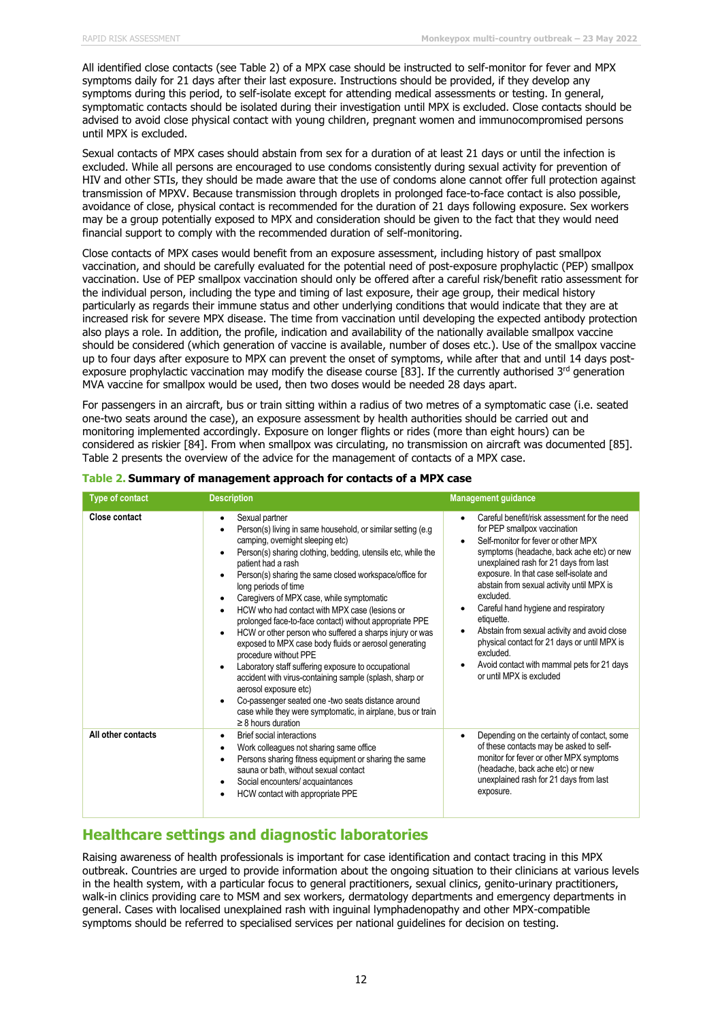All identified close contacts (see Table 2) of a MPX case should be instructed to self-monitor for fever and MPX symptoms daily for 21 days after their last exposure. Instructions should be provided, if they develop any symptoms during this period, to self-isolate except for attending medical assessments or testing. In general, symptomatic contacts should be isolated during their investigation until MPX is excluded. Close contacts should be advised to avoid close physical contact with young children, pregnant women and immunocompromised persons until MPX is excluded.

Sexual contacts of MPX cases should abstain from sex for a duration of at least 21 days or until the infection is excluded. While all persons are encouraged to use condoms consistently during sexual activity for prevention of HIV and other STIs, they should be made aware that the use of condoms alone cannot offer full protection against transmission of MPXV. Because transmission through droplets in prolonged face-to-face contact is also possible, avoidance of close, physical contact is recommended for the duration of 21 days following exposure. Sex workers may be a group potentially exposed to MPX and consideration should be given to the fact that they would need financial support to comply with the recommended duration of self-monitoring.

Close contacts of MPX cases would benefit from an exposure assessment, including history of past smallpox vaccination, and should be carefully evaluated for the potential need of post-exposure prophylactic (PEP) smallpox vaccination. Use of PEP smallpox vaccination should only be offered after a careful risk/benefit ratio assessment for the individual person, including the type and timing of last exposure, their age group, their medical history particularly as regards their immune status and other underlying conditions that would indicate that they are at increased risk for severe MPX disease. The time from vaccination until developing the expected antibody protection also plays a role. In addition, the profile, indication and availability of the nationally available smallpox vaccine should be considered (which generation of vaccine is available, number of doses etc.). Use of the smallpox vaccine up to four days after exposure to MPX can prevent the onset of symptoms, while after that and until 14 days postexposure prophylactic vaccination may modify the disease course [83]. If the currently authorised 3<sup>rd</sup> generation MVA vaccine for smallpox would be used, then two doses would be needed 28 days apart.

For passengers in an aircraft, bus or train sitting within a radius of two metres of a symptomatic case (i.e. seated one-two seats around the case), an exposure assessment by health authorities should be carried out and monitoring implemented accordingly. Exposure on longer flights or rides (more than eight hours) can be considered as riskier [84]. From when smallpox was circulating, no transmission on aircraft was documented [85]. Table 2 presents the overview of the advice for the management of contacts of a MPX case.

| <b>Type of contact</b> | <b>Description</b>                                                                                                                                                                                                                                                                                                                                                                                                                                                                                                                                                                                                                                                                                                                                                                                                                                                                                                                                                                          | <b>Management guidance</b>                                                                                                                                                                                                                                                                                                                                                                                                                                                                                                                                                |
|------------------------|---------------------------------------------------------------------------------------------------------------------------------------------------------------------------------------------------------------------------------------------------------------------------------------------------------------------------------------------------------------------------------------------------------------------------------------------------------------------------------------------------------------------------------------------------------------------------------------------------------------------------------------------------------------------------------------------------------------------------------------------------------------------------------------------------------------------------------------------------------------------------------------------------------------------------------------------------------------------------------------------|---------------------------------------------------------------------------------------------------------------------------------------------------------------------------------------------------------------------------------------------------------------------------------------------------------------------------------------------------------------------------------------------------------------------------------------------------------------------------------------------------------------------------------------------------------------------------|
| <b>Close contact</b>   | Sexual partner<br>٠<br>Person(s) living in same household, or similar setting (e.g.<br>camping, overnight sleeping etc)<br>Person(s) sharing clothing, bedding, utensils etc, while the<br>$\bullet$<br>patient had a rash<br>Person(s) sharing the same closed workspace/office for<br>$\bullet$<br>long periods of time<br>Caregivers of MPX case, while symptomatic<br>$\bullet$<br>HCW who had contact with MPX case (lesions or<br>$\bullet$<br>prolonged face-to-face contact) without appropriate PPE<br>HCW or other person who suffered a sharps injury or was<br>$\bullet$<br>exposed to MPX case body fluids or aerosol generating<br>procedure without PPE<br>Laboratory staff suffering exposure to occupational<br>$\bullet$<br>accident with virus-containing sample (splash, sharp or<br>aerosol exposure etc)<br>Co-passenger seated one -two seats distance around<br>$\bullet$<br>case while they were symptomatic, in airplane, bus or train<br>$\geq$ 8 hours duration | Careful benefit/risk assessment for the need<br>for PEP smallpox vaccination<br>Self-monitor for fever or other MPX<br>$\bullet$<br>symptoms (headache, back ache etc) or new<br>unexplained rash for 21 days from last<br>exposure. In that case self-isolate and<br>abstain from sexual activity until MPX is<br>excluded.<br>Careful hand hygiene and respiratory<br>etiquette.<br>Abstain from sexual activity and avoid close<br>physical contact for 21 days or until MPX is<br>excluded.<br>Avoid contact with mammal pets for 21 days<br>or until MPX is excluded |
| All other contacts     | <b>Brief social interactions</b><br>$\bullet$<br>Work colleagues not sharing same office<br>$\bullet$<br>Persons sharing fitness equipment or sharing the same<br>$\bullet$<br>sauna or bath, without sexual contact<br>Social encounters/ acquaintances<br>$\bullet$<br>HCW contact with appropriate PPE<br>$\bullet$                                                                                                                                                                                                                                                                                                                                                                                                                                                                                                                                                                                                                                                                      | Depending on the certainty of contact, some<br>٠<br>of these contacts may be asked to self-<br>monitor for fever or other MPX symptoms<br>(headache, back ache etc) or new<br>unexplained rash for 21 days from last<br>exposure.                                                                                                                                                                                                                                                                                                                                         |

#### **Table 2. Summary of management approach for contacts of a MPX case**

## **Healthcare settings and diagnostic laboratories**

Raising awareness of health professionals is important for case identification and contact tracing in this MPX outbreak. Countries are urged to provide information about the ongoing situation to their clinicians at various levels in the health system, with a particular focus to general practitioners, sexual clinics, genito-urinary practitioners, walk-in clinics providing care to MSM and sex workers, dermatology departments and emergency departments in general. Cases with localised unexplained rash with inguinal lymphadenopathy and other MPX-compatible symptoms should be referred to specialised services per national guidelines for decision on testing.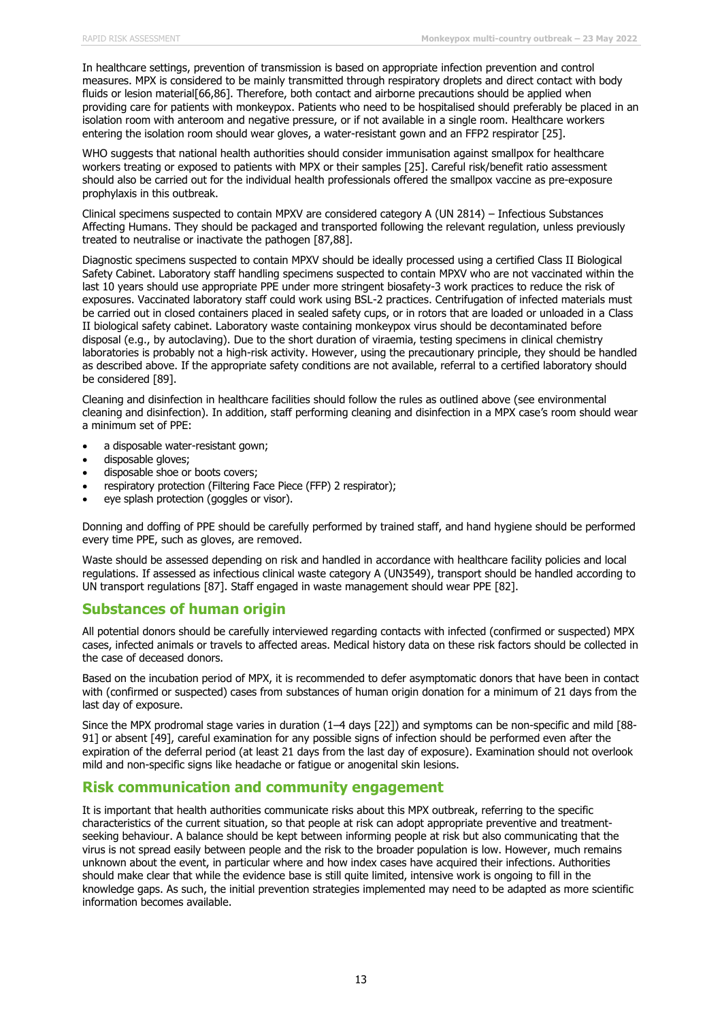In healthcare settings, prevention of transmission is based on appropriate infection prevention and control measures. MPX is considered to be mainly transmitted through respiratory droplets and direct contact with body fluids or lesion material[66,86]. Therefore, both contact and airborne precautions should be applied when providing care for patients with monkeypox. Patients who need to be hospitalised should preferably be placed in an isolation room with anteroom and negative pressure, or if not available in a single room. Healthcare workers entering the isolation room should wear gloves, a water-resistant gown and an FFP2 respirator [25].

WHO suggests that national health authorities should consider immunisation against smallpox for healthcare workers treating or exposed to patients with MPX or their samples [25]. Careful risk/benefit ratio assessment should also be carried out for the individual health professionals offered the smallpox vaccine as pre-exposure prophylaxis in this outbreak.

Clinical specimens suspected to contain MPXV are considered category A (UN 2814) – Infectious Substances Affecting Humans. They should be packaged and transported following the relevant regulation, unless previously treated to neutralise or inactivate the pathogen [87,88].

Diagnostic specimens suspected to contain MPXV should be ideally processed using a certified Class II Biological Safety Cabinet. Laboratory staff handling specimens suspected to contain MPXV who are not vaccinated within the last 10 years should use appropriate PPE under more stringent biosafety-3 work practices to reduce the risk of exposures. Vaccinated laboratory staff could work using BSL-2 practices. Centrifugation of infected materials must be carried out in closed containers placed in sealed safety cups, or in rotors that are loaded or unloaded in a Class II biological safety cabinet. Laboratory waste containing monkeypox virus should be decontaminated before disposal (e.g., by autoclaving). Due to the short duration of viraemia, testing specimens in clinical chemistry laboratories is probably not a high-risk activity. However, using the precautionary principle, they should be handled as described above. If the appropriate safety conditions are not available, referral to a certified laboratory should be considered [89].

Cleaning and disinfection in healthcare facilities should follow the rules as outlined above (see environmental cleaning and disinfection). In addition, staff performing cleaning and disinfection in a MPX case's room should wear a minimum set of PPE:

- a disposable water-resistant gown;
- disposable gloves;
- disposable shoe or boots covers;
- respiratory protection (Filtering Face Piece (FFP) 2 respirator);
- eye splash protection (goggles or visor).

Donning and doffing of PPE should be carefully performed by trained staff, and hand hygiene should be performed every time PPE, such as gloves, are removed.

Waste should be assessed depending on risk and handled in accordance with healthcare facility policies and local regulations. If assessed as infectious clinical waste category A (UN3549), transport should be handled according to UN transport regulations [87]. Staff engaged in waste management should wear PPE [82].

### **Substances of human origin**

All potential donors should be carefully interviewed regarding contacts with infected (confirmed or suspected) MPX cases, infected animals or travels to affected areas. Medical history data on these risk factors should be collected in the case of deceased donors.

Based on the incubation period of MPX, it is recommended to defer asymptomatic donors that have been in contact with (confirmed or suspected) cases from substances of human origin donation for a minimum of 21 days from the last day of exposure.

Since the MPX prodromal stage varies in duration (1–4 days [22]) and symptoms can be non-specific and mild [88- 91] or absent [49], careful examination for any possible signs of infection should be performed even after the expiration of the deferral period (at least 21 days from the last day of exposure). Examination should not overlook mild and non-specific signs like headache or fatigue or anogenital skin lesions.

### **Risk communication and community engagement**

It is important that health authorities communicate risks about this MPX outbreak, referring to the specific characteristics of the current situation, so that people at risk can adopt appropriate preventive and treatmentseeking behaviour. A balance should be kept between informing people at risk but also communicating that the virus is not spread easily between people and the risk to the broader population is low. However, much remains unknown about the event, in particular where and how index cases have acquired their infections. Authorities should make clear that while the evidence base is still quite limited, intensive work is ongoing to fill in the knowledge gaps. As such, the initial prevention strategies implemented may need to be adapted as more scientific information becomes available.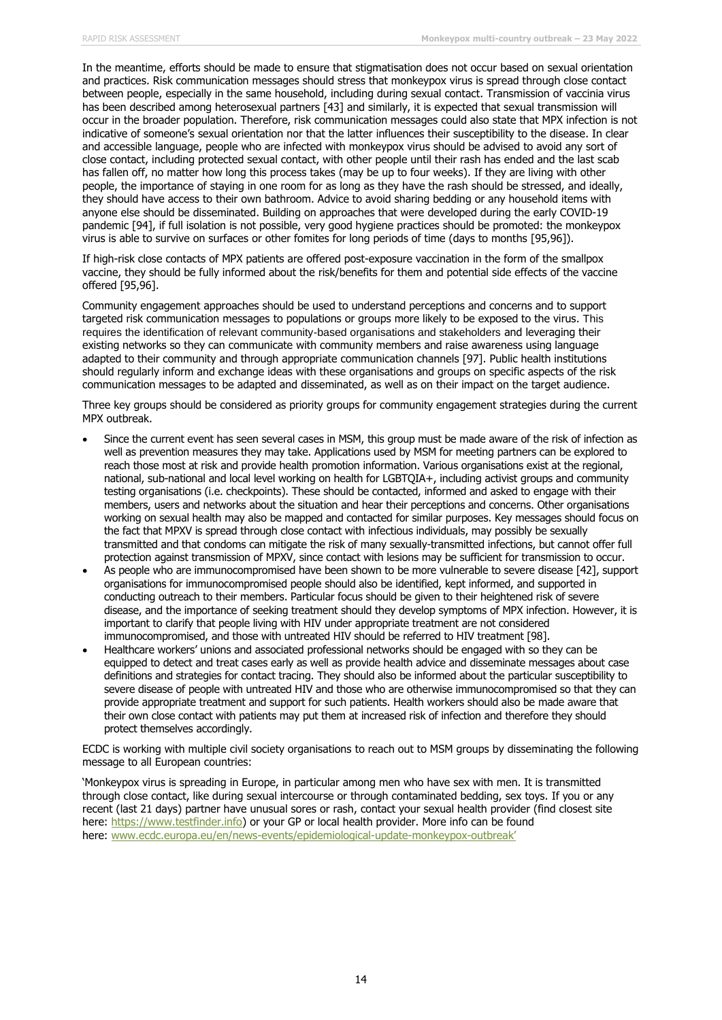In the meantime, efforts should be made to ensure that stigmatisation does not occur based on sexual orientation and practices. Risk communication messages should stress that monkeypox virus is spread through close contact between people, especially in the same household, including during sexual contact. Transmission of vaccinia virus has been described among heterosexual partners [43] and similarly, it is expected that sexual transmission will occur in the broader population. Therefore, risk communication messages could also state that MPX infection is not indicative of someone's sexual orientation nor that the latter influences their susceptibility to the disease. In clear and accessible language, people who are infected with monkeypox virus should be advised to avoid any sort of close contact, including protected sexual contact, with other people until their rash has ended and the last scab has fallen off, no matter how long this process takes (may be up to four weeks). If they are living with other people, the importance of staying in one room for as long as they have the rash should be stressed, and ideally, they should have access to their own bathroom. Advice to avoid sharing bedding or any household items with anyone else should be disseminated. Building on approaches that were developed during the early COVID-19 pandemic [94], if full isolation is not possible, very good hygiene practices should be promoted: the monkeypox virus is able to survive on surfaces or other fomites for long periods of time (days to months [95,96]).

If high-risk close contacts of MPX patients are offered post-exposure vaccination in the form of the smallpox vaccine, they should be fully informed about the risk/benefits for them and potential side effects of the vaccine offered [95,96].

Community engagement approaches should be used to understand perceptions and concerns and to support targeted risk communication messages to populations or groups more likely to be exposed to the virus. This requires the identification of relevant community-based organisations and stakeholders and leveraging their existing networks so they can communicate with community members and raise awareness using language adapted to their community and through appropriate communication channels [97]. Public health institutions should regularly inform and exchange ideas with these organisations and groups on specific aspects of the risk communication messages to be adapted and disseminated, as well as on their impact on the target audience.

Three key groups should be considered as priority groups for community engagement strategies during the current MPX outbreak.

- Since the current event has seen several cases in MSM, this group must be made aware of the risk of infection as well as prevention measures they may take. Applications used by MSM for meeting partners can be explored to reach those most at risk and provide health promotion information. Various organisations exist at the regional, national, sub-national and local level working on health for LGBTQIA+, including activist groups and community testing organisations (i.e. checkpoints). These should be contacted, informed and asked to engage with their members, users and networks about the situation and hear their perceptions and concerns. Other organisations working on sexual health may also be mapped and contacted for similar purposes. Key messages should focus on the fact that MPXV is spread through close contact with infectious individuals, may possibly be sexually transmitted and that condoms can mitigate the risk of many sexually-transmitted infections, but cannot offer full protection against transmission of MPXV, since contact with lesions may be sufficient for transmission to occur.
- As people who are immunocompromised have been shown to be more vulnerable to severe disease [42], support organisations for immunocompromised people should also be identified, kept informed, and supported in conducting outreach to their members. Particular focus should be given to their heightened risk of severe disease, and the importance of seeking treatment should they develop symptoms of MPX infection. However, it is important to clarify that people living with HIV under appropriate treatment are not considered immunocompromised, and those with untreated HIV should be referred to HIV treatment [98].
- Healthcare workers' unions and associated professional networks should be engaged with so they can be equipped to detect and treat cases early as well as provide health advice and disseminate messages about case definitions and strategies for contact tracing. They should also be informed about the particular susceptibility to severe disease of people with untreated HIV and those who are otherwise immunocompromised so that they can provide appropriate treatment and support for such patients. Health workers should also be made aware that their own close contact with patients may put them at increased risk of infection and therefore they should protect themselves accordingly.

ECDC is working with multiple civil society organisations to reach out to MSM groups by disseminating the following message to all European countries:

'Monkeypox virus is spreading in Europe, in particular among men who have sex with men. It is transmitted through close contact, like during sexual intercourse or through contaminated bedding, sex toys. If you or any recent (last 21 days) partner have unusual sores or rash, contact your sexual health provider (find closest site here: [https://www.testfinder.info\)](https://eur02.safelinks.protection.outlook.com/?url=https%3A%2F%2Fwww.testfinder.info%2F&data=05%7C01%7CTeymur.Noori%40ecdc.europa.eu%7Cb735f7daf96d471559c408da3b41f18a%7C6ad73702409c4046ae59cc4bea334507%7C0%7C0%7C637887451682607849%7CUnknown%7CTWFpbGZsb3d8eyJWIjoiMC4wLjAwMDAiLCJQIjoiV2luMzIiLCJBTiI6Ik1haWwiLCJXVCI6Mn0%3D%7C3000%7C%7C%7C&sdata=9Qv%2FT5Ja8rh3Kt82A9g%2Fv36zMNCf7qvFo2rZdKnhgNo%3D&reserved=0) or your GP or local health provider. More info can be found here: [www.ecdc.europa.eu/en/news-events/epidemiological-update-monkeypox-outbreak](https://www.ecdc.europa.eu/en/news-events/epidemiological-update-monkeypox-outbreak)'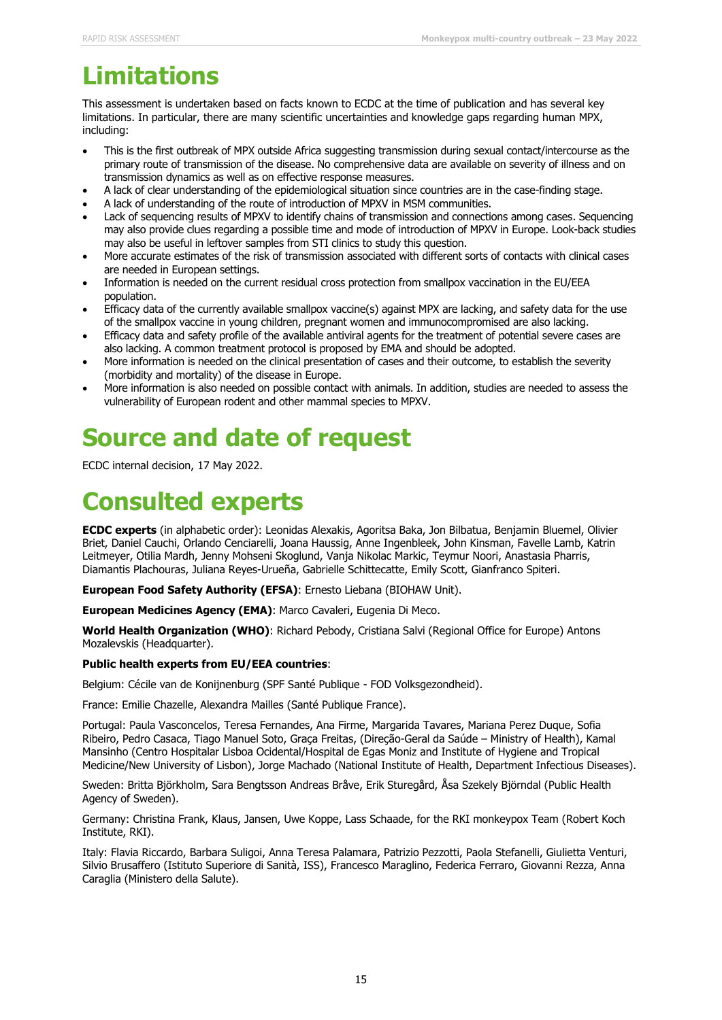# **Limitations**

This assessment is undertaken based on facts known to ECDC at the time of publication and has several key limitations. In particular, there are many scientific uncertainties and knowledge gaps regarding human MPX, including:

- This is the first outbreak of MPX outside Africa suggesting transmission during sexual contact/intercourse as the primary route of transmission of the disease. No comprehensive data are available on severity of illness and on transmission dynamics as well as on effective response measures.
- A lack of clear understanding of the epidemiological situation since countries are in the case-finding stage.
- A lack of understanding of the route of introduction of MPXV in MSM communities.
- Lack of sequencing results of MPXV to identify chains of transmission and connections among cases. Sequencing may also provide clues regarding a possible time and mode of introduction of MPXV in Europe. Look-back studies may also be useful in leftover samples from STI clinics to study this question.
- More accurate estimates of the risk of transmission associated with different sorts of contacts with clinical cases are needed in European settings.
- Information is needed on the current residual cross protection from smallpox vaccination in the EU/EEA population.
- Efficacy data of the currently available smallpox vaccine(s) against MPX are lacking, and safety data for the use of the smallpox vaccine in young children, pregnant women and immunocompromised are also lacking.
- Efficacy data and safety profile of the available antiviral agents for the treatment of potential severe cases are also lacking. A common treatment protocol is proposed by EMA and should be adopted.
- More information is needed on the clinical presentation of cases and their outcome, to establish the severity (morbidity and mortality) of the disease in Europe.
- More information is also needed on possible contact with animals. In addition, studies are needed to assess the vulnerability of European rodent and other mammal species to MPXV.

# **Source and date of request**

ECDC internal decision, 17 May 2022.

# **Consulted experts**

**ECDC experts** (in alphabetic order): Leonidas Alexakis, Agoritsa Baka, Jon Bilbatua, Benjamin Bluemel, Olivier Briet, Daniel Cauchi, Orlando Cenciarelli, Joana Haussig, Anne Ingenbleek, John Kinsman, Favelle Lamb, Katrin Leitmeyer, Otilia Mardh, Jenny Mohseni Skoglund, Vanja Nikolac Markic, Teymur Noori, Anastasia Pharris, Diamantis Plachouras, Juliana Reyes-Urueña, Gabrielle Schittecatte, Emily Scott, Gianfranco Spiteri.

**European Food Safety Authority (EFSA)**: Ernesto Liebana (BIOHAW Unit).

**European Medicines Agency (EMA)**: Marco Cavaleri, Eugenia Di Meco.

**World Health Organization (WHO)**: Richard Pebody, Cristiana Salvi (Regional Office for Europe) Antons Mozalevskis (Headquarter).

#### **Public health experts from EU/EEA countries**:

Belgium: Cécile van de Konijnenburg (SPF Santé Publique - FOD Volksgezondheid).

France: Emilie Chazelle, Alexandra Mailles (Santé Publique France).

Portugal: Paula Vasconcelos, Teresa Fernandes, Ana Firme, Margarida Tavares, Mariana Perez Duque, Sofia Ribeiro, Pedro Casaca, Tiago Manuel Soto, Graça Freitas, (Direção-Geral da Saúde – Ministry of Health), Kamal Mansinho (Centro Hospitalar Lisboa Ocidental/Hospital de Egas Moniz and Institute of Hygiene and Tropical Medicine/New University of Lisbon), Jorge Machado (National Institute of Health, Department Infectious Diseases).

Sweden: Britta Björkholm, Sara Bengtsson Andreas Bråve, Erik Sturegård, Åsa Szekely Björndal (Public Health Agency of Sweden).

Germany: Christina Frank, Klaus, Jansen, Uwe Koppe, Lass Schaade, for the RKI monkeypox Team (Robert Koch Institute, RKI).

Italy: Flavia Riccardo, Barbara Suligoi, Anna Teresa Palamara, Patrizio Pezzotti, Paola Stefanelli, Giulietta Venturi, Silvio Brusaffero (Istituto Superiore di Sanità, ISS), Francesco Maraglino, Federica Ferraro, Giovanni Rezza, Anna Caraglia (Ministero della Salute).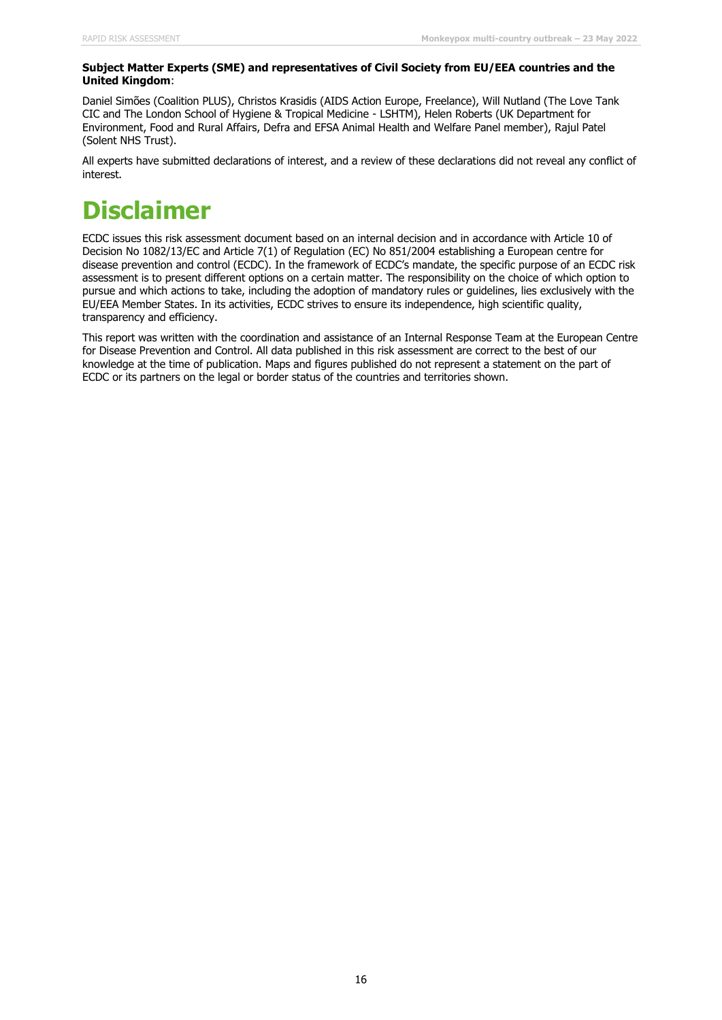#### **Subject Matter Experts (SME) and representatives of Civil Society from EU/EEA countries and the United Kingdom**:

Daniel Simões (Coalition PLUS), Christos Krasidis (AIDS Action Europe, Freelance), Will Nutland (The Love Tank CIC and The London School of Hygiene & Tropical Medicine - LSHTM), Helen Roberts (UK Department for Environment, Food and Rural Affairs, Defra and EFSA Animal Health and Welfare Panel member), Rajul Patel (Solent NHS Trust).

All experts have submitted declarations of interest, and a review of these declarations did not reveal any conflict of interest.

# **Disclaimer**

ECDC issues this risk assessment document based on an internal decision and in accordance with Article 10 of Decision No 1082/13/EC and Article 7(1) of Regulation (EC) No 851/2004 establishing a European centre for disease prevention and control (ECDC). In the framework of ECDC's mandate, the specific purpose of an ECDC risk assessment is to present different options on a certain matter. The responsibility on the choice of which option to pursue and which actions to take, including the adoption of mandatory rules or guidelines, lies exclusively with the EU/EEA Member States. In its activities, ECDC strives to ensure its independence, high scientific quality, transparency and efficiency.

This report was written with the coordination and assistance of an Internal Response Team at the European Centre for Disease Prevention and Control. All data published in this risk assessment are correct to the best of our knowledge at the time of publication. Maps and figures published do not represent a statement on the part of ECDC or its partners on the legal or border status of the countries and territories shown.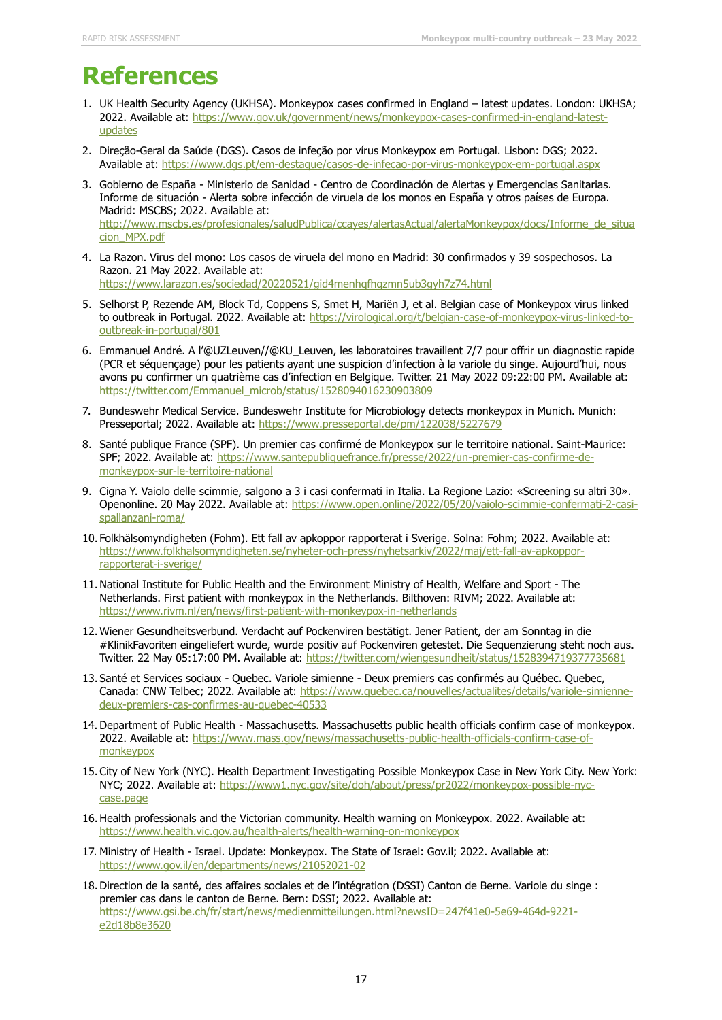# **References**

- 1. UK Health Security Agency (UKHSA). Monkeypox cases confirmed in England latest updates. London: UKHSA; 2022. Available at: [https://www.gov.uk/government/news/monkeypox-cases-confirmed-in-england-latest](https://www.gov.uk/government/news/monkeypox-cases-confirmed-in-england-latest-updates)[updates](https://www.gov.uk/government/news/monkeypox-cases-confirmed-in-england-latest-updates)
- 2. Direção-Geral da Saúde (DGS). Casos de infeção por vírus Monkeypox em Portugal. Lisbon: DGS; 2022. Available at:<https://www.dgs.pt/em-destaque/casos-de-infecao-por-virus-monkeypox-em-portugal.aspx>
- 3. Gobierno de España Ministerio de Sanidad Centro de Coordinación de Alertas y Emergencias Sanitarias. Informe de situación - Alerta sobre infección de viruela de los monos en España y otros países de Europa. Madrid: MSCBS; 2022. Available at: [http://www.mscbs.es/profesionales/saludPublica/ccayes/alertasActual/alertaMonkeypox/docs/Informe\\_de\\_situa](http://www.mscbs.es/profesionales/saludPublica/ccayes/alertasActual/alertaMonkeypox/docs/Informe_de_situacion_MPX.pdf) [cion\\_MPX.pdf](http://www.mscbs.es/profesionales/saludPublica/ccayes/alertasActual/alertaMonkeypox/docs/Informe_de_situacion_MPX.pdf)
- 4. La Razon. Virus del mono: Los casos de viruela del mono en Madrid: 30 confirmados y 39 sospechosos. La Razon. 21 May 2022. Available at: <https://www.larazon.es/sociedad/20220521/gid4menhqfhqzmn5ub3gyh7z74.html>
- 5. Selhorst P, Rezende AM, Block Td, Coppens S, Smet H, Mariën J, et al. Belgian case of Monkeypox virus linked to outbreak in Portugal. 2022. Available at: [https://virological.org/t/belgian-case-of-monkeypox-virus-linked-to](https://virological.org/t/belgian-case-of-monkeypox-virus-linked-to-outbreak-in-portugal/801)[outbreak-in-portugal/801](https://virological.org/t/belgian-case-of-monkeypox-virus-linked-to-outbreak-in-portugal/801)
- 6. Emmanuel André. A l'@UZLeuven//@KU\_Leuven, les laboratoires travaillent 7/7 pour offrir un diagnostic rapide (PCR et séquençage) pour les patients ayant une suspicion d'infection à la variole du singe. Aujourd'hui, nous avons pu confirmer un quatrième cas d'infection en Belgique. Twitter. 21 May 2022 09:22:00 PM. Available at: [https://twitter.com/Emmanuel\\_microb/status/1528094016230903809](https://twitter.com/Emmanuel_microb/status/1528094016230903809)
- 7. Bundeswehr Medical Service. Bundeswehr Institute for Microbiology detects monkeypox in Munich. Munich: Presseportal; 2022. Available at:<https://www.presseportal.de/pm/122038/5227679>
- 8. Santé publique France (SPF). Un premier cas confirmé de Monkeypox sur le territoire national. Saint-Maurice: SPF; 2022. Available at: [https://www.santepubliquefrance.fr/presse/2022/un-premier-cas-confirme-de](https://www.santepubliquefrance.fr/presse/2022/un-premier-cas-confirme-de-monkeypox-sur-le-territoire-national)[monkeypox-sur-le-territoire-national](https://www.santepubliquefrance.fr/presse/2022/un-premier-cas-confirme-de-monkeypox-sur-le-territoire-national)
- 9. Cigna Y. Vaiolo delle scimmie, salgono a 3 i casi confermati in Italia. La Regione Lazio: «Screening su altri 30». Openonline. 20 May 2022. Available at: [https://www.open.online/2022/05/20/vaiolo-scimmie-confermati-2-casi](https://www.open.online/2022/05/20/vaiolo-scimmie-confermati-2-casi-spallanzani-roma/)[spallanzani-roma/](https://www.open.online/2022/05/20/vaiolo-scimmie-confermati-2-casi-spallanzani-roma/)
- 10. Folkhälsomyndigheten (Fohm). Ett fall av apkoppor rapporterat i Sverige. Solna: Fohm; 2022. Available at: [https://www.folkhalsomyndigheten.se/nyheter-och-press/nyhetsarkiv/2022/maj/ett-fall-av-apkoppor](https://www.folkhalsomyndigheten.se/nyheter-och-press/nyhetsarkiv/2022/maj/ett-fall-av-apkoppor-rapporterat-i-sverige/)[rapporterat-i-sverige/](https://www.folkhalsomyndigheten.se/nyheter-och-press/nyhetsarkiv/2022/maj/ett-fall-av-apkoppor-rapporterat-i-sverige/)
- 11. National Institute for Public Health and the Environment Ministry of Health, Welfare and Sport The Netherlands. First patient with monkeypox in the Netherlands. Bilthoven: RIVM; 2022. Available at: <https://www.rivm.nl/en/news/first-patient-with-monkeypox-in-netherlands>
- 12. Wiener Gesundheitsverbund. Verdacht auf Pockenviren bestätigt. Jener Patient, der am Sonntag in die #KlinikFavoriten eingeliefert wurde, wurde positiv auf Pockenviren getestet. Die Sequenzierung steht noch aus. Twitter. 22 May 05:17:00 PM. Available at:<https://twitter.com/wiengesundheit/status/1528394719377735681>
- 13. Santé et Services sociaux Quebec. Variole simienne Deux premiers cas confirmés au Québec. Quebec, Canada: CNW Telbec; 2022. Available at: [https://www.quebec.ca/nouvelles/actualites/details/variole-simienne](https://www.quebec.ca/nouvelles/actualites/details/variole-simienne-deux-premiers-cas-confirmes-au-quebec-40533)[deux-premiers-cas-confirmes-au-quebec-40533](https://www.quebec.ca/nouvelles/actualites/details/variole-simienne-deux-premiers-cas-confirmes-au-quebec-40533)
- 14. Department of Public Health Massachusetts. Massachusetts public health officials confirm case of monkeypox. 2022. Available at: [https://www.mass.gov/news/massachusetts-public-health-officials-confirm-case-of](https://www.mass.gov/news/massachusetts-public-health-officials-confirm-case-of-monkeypox)[monkeypox](https://www.mass.gov/news/massachusetts-public-health-officials-confirm-case-of-monkeypox)
- 15. City of New York (NYC). Health Department Investigating Possible Monkeypox Case in New York City. New York: NYC; 2022. Available at: [https://www1.nyc.gov/site/doh/about/press/pr2022/monkeypox-possible-nyc](https://www1.nyc.gov/site/doh/about/press/pr2022/monkeypox-possible-nyc-case.page)[case.page](https://www1.nyc.gov/site/doh/about/press/pr2022/monkeypox-possible-nyc-case.page)
- 16. Health professionals and the Victorian community. Health warning on Monkeypox. 2022. Available at: <https://www.health.vic.gov.au/health-alerts/health-warning-on-monkeypox>
- 17. Ministry of Health Israel. Update: Monkeypox. The State of Israel: Gov.il; 2022. Available at: <https://www.gov.il/en/departments/news/21052021-02>
- 18. Direction de la santé, des affaires sociales et de l'intégration (DSSI) Canton de Berne. Variole du singe : premier cas dans le canton de Berne. Bern: DSSI; 2022. Available at: [https://www.gsi.be.ch/fr/start/news/medienmitteilungen.html?newsID=247f41e0-5e69-464d-9221](https://www.gsi.be.ch/fr/start/news/medienmitteilungen.html?newsID=247f41e0-5e69-464d-9221-e2d18b8e3620) [e2d18b8e3620](https://www.gsi.be.ch/fr/start/news/medienmitteilungen.html?newsID=247f41e0-5e69-464d-9221-e2d18b8e3620)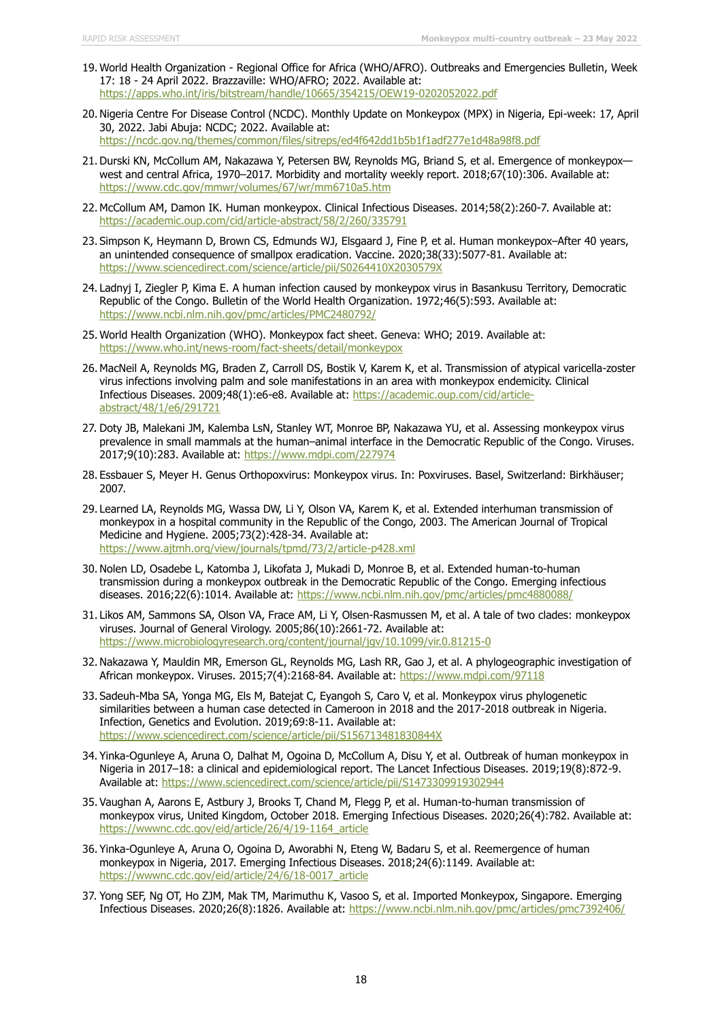- 19. World Health Organization Regional Office for Africa (WHO/AFRO). Outbreaks and Emergencies Bulletin, Week 17: 18 - 24 April 2022. Brazzaville: WHO/AFRO; 2022. Available at: <https://apps.who.int/iris/bitstream/handle/10665/354215/OEW19-0202052022.pdf>
- 20. Nigeria Centre For Disease Control (NCDC). Monthly Update on Monkeypox (MPX) in Nigeria, Epi-week: 17, April 30, 2022. Jabi Abuja: NCDC; 2022. Available at: <https://ncdc.gov.ng/themes/common/files/sitreps/ed4f642dd1b5b1f1adf277e1d48a98f8.pdf>
- 21. Durski KN, McCollum AM, Nakazawa Y, Petersen BW, Reynolds MG, Briand S, et al. Emergence of monkeypox west and central Africa, 1970–2017. Morbidity and mortality weekly report. 2018;67(10):306. Available at: <https://www.cdc.gov/mmwr/volumes/67/wr/mm6710a5.htm>
- 22. McCollum AM, Damon IK. Human monkeypox. Clinical Infectious Diseases. 2014;58(2):260-7. Available at: <https://academic.oup.com/cid/article-abstract/58/2/260/335791>
- 23. Simpson K, Heymann D, Brown CS, Edmunds WJ, Elsgaard J, Fine P, et al. Human monkeypox–After 40 years, an unintended consequence of smallpox eradication. Vaccine. 2020;38(33):5077-81. Available at: <https://www.sciencedirect.com/science/article/pii/S0264410X2030579X>
- 24. Ladnyj I, Ziegler P, Kima E. A human infection caused by monkeypox virus in Basankusu Territory, Democratic Republic of the Congo. Bulletin of the World Health Organization. 1972;46(5):593. Available at: <https://www.ncbi.nlm.nih.gov/pmc/articles/PMC2480792/>
- 25. World Health Organization (WHO). Monkeypox fact sheet. Geneva: WHO; 2019. Available at: <https://www.who.int/news-room/fact-sheets/detail/monkeypox>
- 26. MacNeil A, Reynolds MG, Braden Z, Carroll DS, Bostik V, Karem K, et al. Transmission of atypical varicella-zoster virus infections involving palm and sole manifestations in an area with monkeypox endemicity. Clinical Infectious Diseases. 2009;48(1):e6-e8. Available at: [https://academic.oup.com/cid/article](https://academic.oup.com/cid/article-abstract/48/1/e6/291721)[abstract/48/1/e6/291721](https://academic.oup.com/cid/article-abstract/48/1/e6/291721)
- 27. Doty JB, Malekani JM, Kalemba LsN, Stanley WT, Monroe BP, Nakazawa YU, et al. Assessing monkeypox virus prevalence in small mammals at the human–animal interface in the Democratic Republic of the Congo. Viruses. 2017;9(10):283. Available at:<https://www.mdpi.com/227974>
- 28. Essbauer S, Meyer H. Genus Orthopoxvirus: Monkeypox virus. In: Poxviruses. Basel, Switzerland: Birkhäuser; 2007.
- 29. Learned LA, Reynolds MG, Wassa DW, Li Y, Olson VA, Karem K, et al. Extended interhuman transmission of monkeypox in a hospital community in the Republic of the Congo, 2003. The American Journal of Tropical Medicine and Hygiene. 2005;73(2):428-34. Available at: <https://www.ajtmh.org/view/journals/tpmd/73/2/article-p428.xml>
- 30. Nolen LD, Osadebe L, Katomba J, Likofata J, Mukadi D, Monroe B, et al. Extended human-to-human transmission during a monkeypox outbreak in the Democratic Republic of the Congo. Emerging infectious diseases. 2016;22(6):1014. Available at:<https://www.ncbi.nlm.nih.gov/pmc/articles/pmc4880088/>
- 31. Likos AM, Sammons SA, Olson VA, Frace AM, Li Y, Olsen-Rasmussen M, et al. A tale of two clades: monkeypox viruses. Journal of General Virology. 2005;86(10):2661-72. Available at: <https://www.microbiologyresearch.org/content/journal/jgv/10.1099/vir.0.81215-0>
- 32. Nakazawa Y, Mauldin MR, Emerson GL, Reynolds MG, Lash RR, Gao J, et al. A phylogeographic investigation of African monkeypox. Viruses. 2015;7(4):2168-84. Available at:<https://www.mdpi.com/97118>
- 33. Sadeuh-Mba SA, Yonga MG, Els M, Batejat C, Eyangoh S, Caro V, et al. Monkeypox virus phylogenetic similarities between a human case detected in Cameroon in 2018 and the 2017-2018 outbreak in Nigeria. Infection, Genetics and Evolution. 2019;69:8-11. Available at: <https://www.sciencedirect.com/science/article/pii/S156713481830844X>
- 34. Yinka-Ogunleye A, Aruna O, Dalhat M, Ogoina D, McCollum A, Disu Y, et al. Outbreak of human monkeypox in Nigeria in 2017–18: a clinical and epidemiological report. The Lancet Infectious Diseases. 2019;19(8):872-9. Available at:<https://www.sciencedirect.com/science/article/pii/S1473309919302944>
- 35. Vaughan A, Aarons E, Astbury J, Brooks T, Chand M, Flegg P, et al. Human-to-human transmission of monkeypox virus, United Kingdom, October 2018. Emerging Infectious Diseases. 2020;26(4):782. Available at: [https://wwwnc.cdc.gov/eid/article/26/4/19-1164\\_article](https://wwwnc.cdc.gov/eid/article/26/4/19-1164_article)
- 36. Yinka-Ogunleye A, Aruna O, Ogoina D, Aworabhi N, Eteng W, Badaru S, et al. Reemergence of human monkeypox in Nigeria, 2017. Emerging Infectious Diseases. 2018;24(6):1149. Available at: [https://wwwnc.cdc.gov/eid/article/24/6/18-0017\\_article](https://wwwnc.cdc.gov/eid/article/24/6/18-0017_article)
- 37. Yong SEF, Ng OT, Ho ZJM, Mak TM, Marimuthu K, Vasoo S, et al. Imported Monkeypox, Singapore. Emerging Infectious Diseases. 2020;26(8):1826. Available at:<https://www.ncbi.nlm.nih.gov/pmc/articles/pmc7392406/>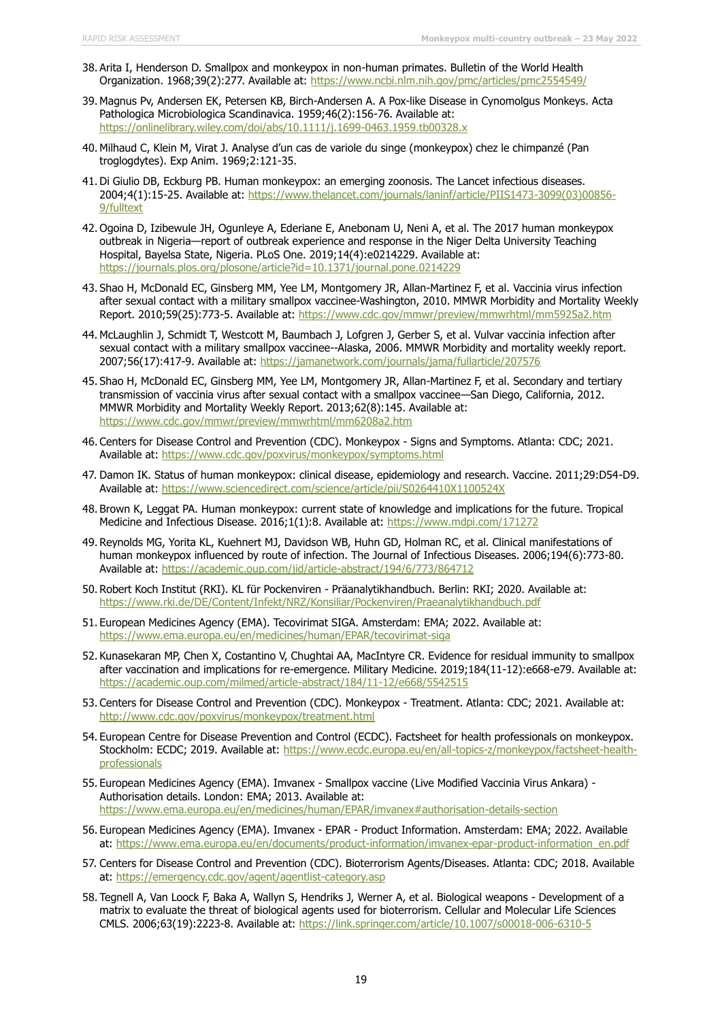- 38. Arita I, Henderson D. Smallpox and monkeypox in non-human primates. Bulletin of the World Health Organization. 1968;39(2):277. Available at:<https://www.ncbi.nlm.nih.gov/pmc/articles/pmc2554549/>
- 39. Magnus Pv, Andersen EK, Petersen KB, Birch-Andersen A. A Pox-like Disease in Cynomolgus Monkeys. Acta Pathologica Microbiologica Scandinavica. 1959;46(2):156-76. Available at: <https://onlinelibrary.wiley.com/doi/abs/10.1111/j.1699-0463.1959.tb00328.x>
- 40. Milhaud C, Klein M, Virat J. Analyse d'un cas de variole du singe (monkeypox) chez le chimpanzé (Pan troglogdytes). Exp Anim. 1969;2:121-35.
- 41. Di Giulio DB, Eckburg PB. Human monkeypox: an emerging zoonosis. The Lancet infectious diseases. 2004;4(1):15-25. Available at: [https://www.thelancet.com/journals/laninf/article/PIIS1473-3099\(03\)00856-](https://www.thelancet.com/journals/laninf/article/PIIS1473-3099(03)00856-9/fulltext) [9/fulltext](https://www.thelancet.com/journals/laninf/article/PIIS1473-3099(03)00856-9/fulltext)
- 42. Ogoina D, Izibewule JH, Ogunleye A, Ederiane E, Anebonam U, Neni A, et al. The 2017 human monkeypox outbreak in Nigeria—report of outbreak experience and response in the Niger Delta University Teaching Hospital, Bayelsa State, Nigeria. PLoS One. 2019;14(4):e0214229. Available at: <https://journals.plos.org/plosone/article?id=10.1371/journal.pone.0214229>
- 43. Shao H, McDonald EC, Ginsberg MM, Yee LM, Montgomery JR, Allan-Martinez F, et al. Vaccinia virus infection after sexual contact with a military smallpox vaccinee-Washington, 2010. MMWR Morbidity and Mortality Weekly Report. 2010;59(25):773-5. Available at:<https://www.cdc.gov/mmwr/preview/mmwrhtml/mm5925a2.htm>
- 44. McLaughlin J, Schmidt T, Westcott M, Baumbach J, Lofgren J, Gerber S, et al. Vulvar vaccinia infection after sexual contact with a military smallpox vaccinee--Alaska, 2006. MMWR Morbidity and mortality weekly report. 2007;56(17):417-9. Available at:<https://jamanetwork.com/journals/jama/fullarticle/207576>
- 45. Shao H, McDonald EC, Ginsberg MM, Yee LM, Montgomery JR, Allan-Martinez F, et al. Secondary and tertiary transmission of vaccinia virus after sexual contact with a smallpox vaccinee—San Diego, California, 2012. MMWR Morbidity and Mortality Weekly Report. 2013;62(8):145. Available at: <https://www.cdc.gov/mmwr/preview/mmwrhtml/mm6208a2.htm>
- 46. Centers for Disease Control and Prevention (CDC). Monkeypox Signs and Symptoms. Atlanta: CDC; 2021. Available at:<https://www.cdc.gov/poxvirus/monkeypox/symptoms.html>
- 47. Damon IK. Status of human monkeypox: clinical disease, epidemiology and research. Vaccine. 2011;29:D54-D9. Available at:<https://www.sciencedirect.com/science/article/pii/S0264410X1100524X>
- 48. Brown K, Leggat PA. Human monkeypox: current state of knowledge and implications for the future. Tropical Medicine and Infectious Disease. 2016;1(1):8. Available at:<https://www.mdpi.com/171272>
- 49. Reynolds MG, Yorita KL, Kuehnert MJ, Davidson WB, Huhn GD, Holman RC, et al. Clinical manifestations of human monkeypox influenced by route of infection. The Journal of Infectious Diseases. 2006;194(6):773-80. Available at:<https://academic.oup.com/jid/article-abstract/194/6/773/864712>
- 50. Robert Koch Institut (RKI). KL für Pockenviren Präanalytikhandbuch. Berlin: RKI; 2020. Available at: <https://www.rki.de/DE/Content/Infekt/NRZ/Konsiliar/Pockenviren/Praeanalytikhandbuch.pdf>
- 51. European Medicines Agency (EMA). Tecovirimat SIGA. Amsterdam: EMA; 2022. Available at: <https://www.ema.europa.eu/en/medicines/human/EPAR/tecovirimat-siga>
- 52. Kunasekaran MP, Chen X, Costantino V, Chughtai AA, MacIntyre CR. Evidence for residual immunity to smallpox after vaccination and implications for re-emergence. Military Medicine. 2019;184(11-12):e668-e79. Available at: <https://academic.oup.com/milmed/article-abstract/184/11-12/e668/5542515>
- 53. Centers for Disease Control and Prevention (CDC). Monkeypox Treatment. Atlanta: CDC; 2021. Available at: <http://www.cdc.gov/poxvirus/monkeypox/treatment.html>
- 54. European Centre for Disease Prevention and Control (ECDC). Factsheet for health professionals on monkeypox. Stockholm: ECDC; 2019. Available at: [https://www.ecdc.europa.eu/en/all-topics-z/monkeypox/factsheet-health](https://www.ecdc.europa.eu/en/all-topics-z/monkeypox/factsheet-health-professionals)[professionals](https://www.ecdc.europa.eu/en/all-topics-z/monkeypox/factsheet-health-professionals)
- 55. European Medicines Agency (EMA). Imvanex Smallpox vaccine (Live Modified Vaccinia Virus Ankara) Authorisation details. London: EMA; 2013. Available at: <https://www.ema.europa.eu/en/medicines/human/EPAR/imvanex#authorisation-details-section>
- 56. European Medicines Agency (EMA). Imvanex EPAR Product Information. Amsterdam: EMA; 2022. Available at: [https://www.ema.europa.eu/en/documents/product-information/imvanex-epar-product-information\\_en.pdf](https://www.ema.europa.eu/en/documents/product-information/imvanex-epar-product-information_en.pdf)
- 57. Centers for Disease Control and Prevention (CDC). Bioterrorism Agents/Diseases. Atlanta: CDC; 2018. Available at:<https://emergency.cdc.gov/agent/agentlist-category.asp>
- 58. Tegnell A, Van Loock F, Baka A, Wallyn S, Hendriks J, Werner A, et al. Biological weapons Development of a matrix to evaluate the threat of biological agents used for bioterrorism. Cellular and Molecular Life Sciences CMLS. 2006;63(19):2223-8. Available at:<https://link.springer.com/article/10.1007/s00018-006-6310-5>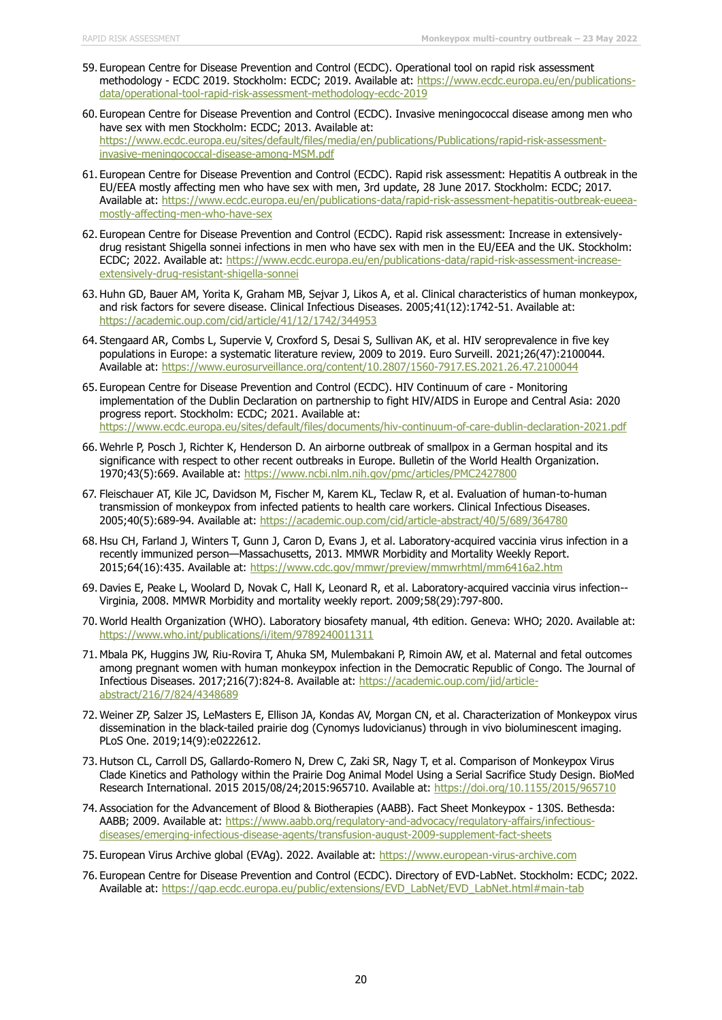- 59. European Centre for Disease Prevention and Control (ECDC). Operational tool on rapid risk assessment methodology - ECDC 2019. Stockholm: ECDC; 2019. Available at: [https://www.ecdc.europa.eu/en/publications](https://www.ecdc.europa.eu/en/publications-data/operational-tool-rapid-risk-assessment-methodology-ecdc-2019)[data/operational-tool-rapid-risk-assessment-methodology-ecdc-2019](https://www.ecdc.europa.eu/en/publications-data/operational-tool-rapid-risk-assessment-methodology-ecdc-2019)
- 60. European Centre for Disease Prevention and Control (ECDC). Invasive meningococcal disease among men who have sex with men Stockholm: ECDC; 2013. Available at: [https://www.ecdc.europa.eu/sites/default/files/media/en/publications/Publications/rapid-risk-assessment](https://www.ecdc.europa.eu/sites/default/files/media/en/publications/Publications/rapid-risk-assessment-invasive-meningococcal-disease-among-MSM.pdf)[invasive-meningococcal-disease-among-MSM.pdf](https://www.ecdc.europa.eu/sites/default/files/media/en/publications/Publications/rapid-risk-assessment-invasive-meningococcal-disease-among-MSM.pdf)
- 61. European Centre for Disease Prevention and Control (ECDC). Rapid risk assessment: Hepatitis A outbreak in the EU/EEA mostly affecting men who have sex with men, 3rd update, 28 June 2017. Stockholm: ECDC; 2017. Available at: [https://www.ecdc.europa.eu/en/publications-data/rapid-risk-assessment-hepatitis-outbreak-eueea](https://www.ecdc.europa.eu/en/publications-data/rapid-risk-assessment-hepatitis-outbreak-eueea-mostly-affecting-men-who-have-sex)[mostly-affecting-men-who-have-sex](https://www.ecdc.europa.eu/en/publications-data/rapid-risk-assessment-hepatitis-outbreak-eueea-mostly-affecting-men-who-have-sex)
- 62. European Centre for Disease Prevention and Control (ECDC). Rapid risk assessment: Increase in extensivelydrug resistant Shigella sonnei infections in men who have sex with men in the EU/EEA and the UK. Stockholm: ECDC; 2022. Available at: [https://www.ecdc.europa.eu/en/publications-data/rapid-risk-assessment-increase](https://www.ecdc.europa.eu/en/publications-data/rapid-risk-assessment-increase-extensively-drug-resistant-shigella-sonnei)[extensively-drug-resistant-shigella-sonnei](https://www.ecdc.europa.eu/en/publications-data/rapid-risk-assessment-increase-extensively-drug-resistant-shigella-sonnei)
- 63. Huhn GD, Bauer AM, Yorita K, Graham MB, Sejvar J, Likos A, et al. Clinical characteristics of human monkeypox, and risk factors for severe disease. Clinical Infectious Diseases. 2005;41(12):1742-51. Available at: <https://academic.oup.com/cid/article/41/12/1742/344953>
- 64. Stengaard AR, Combs L, Supervie V, Croxford S, Desai S, Sullivan AK, et al. HIV seroprevalence in five key populations in Europe: a systematic literature review, 2009 to 2019. Euro Surveill. 2021;26(47):2100044. Available at:<https://www.eurosurveillance.org/content/10.2807/1560-7917.ES.2021.26.47.2100044>
- 65. European Centre for Disease Prevention and Control (ECDC). HIV Continuum of care Monitoring implementation of the Dublin Declaration on partnership to fight HIV/AIDS in Europe and Central Asia: 2020 progress report. Stockholm: ECDC; 2021. Available at: <https://www.ecdc.europa.eu/sites/default/files/documents/hiv-continuum-of-care-dublin-declaration-2021.pdf>
- 66. Wehrle P, Posch J, Richter K, Henderson D. An airborne outbreak of smallpox in a German hospital and its significance with respect to other recent outbreaks in Europe. Bulletin of the World Health Organization. 1970;43(5):669. Available at:<https://www.ncbi.nlm.nih.gov/pmc/articles/PMC2427800>
- 67. Fleischauer AT, Kile JC, Davidson M, Fischer M, Karem KL, Teclaw R, et al. Evaluation of human-to-human transmission of monkeypox from infected patients to health care workers. Clinical Infectious Diseases. 2005;40(5):689-94. Available at:<https://academic.oup.com/cid/article-abstract/40/5/689/364780>
- 68. Hsu CH, Farland J, Winters T, Gunn J, Caron D, Evans J, et al. Laboratory-acquired vaccinia virus infection in a recently immunized person—Massachusetts, 2013. MMWR Morbidity and Mortality Weekly Report. 2015;64(16):435. Available at:<https://www.cdc.gov/mmwr/preview/mmwrhtml/mm6416a2.htm>
- 69. Davies E, Peake L, Woolard D, Novak C, Hall K, Leonard R, et al. Laboratory-acquired vaccinia virus infection-- Virginia, 2008. MMWR Morbidity and mortality weekly report. 2009;58(29):797-800.
- 70. World Health Organization (WHO). Laboratory biosafety manual, 4th edition. Geneva: WHO; 2020. Available at: <https://www.who.int/publications/i/item/9789240011311>
- 71. Mbala PK, Huggins JW, Riu-Rovira T, Ahuka SM, Mulembakani P, Rimoin AW, et al. Maternal and fetal outcomes among pregnant women with human monkeypox infection in the Democratic Republic of Congo. The Journal of Infectious Diseases. 2017;216(7):824-8. Available at: [https://academic.oup.com/jid/article](https://academic.oup.com/jid/article-abstract/216/7/824/4348689)[abstract/216/7/824/4348689](https://academic.oup.com/jid/article-abstract/216/7/824/4348689)
- 72. Weiner ZP, Salzer JS, LeMasters E, Ellison JA, Kondas AV, Morgan CN, et al. Characterization of Monkeypox virus dissemination in the black-tailed prairie dog (Cynomys ludovicianus) through in vivo bioluminescent imaging. PLoS One. 2019;14(9):e0222612.
- 73. Hutson CL, Carroll DS, Gallardo-Romero N, Drew C, Zaki SR, Nagy T, et al. Comparison of Monkeypox Virus Clade Kinetics and Pathology within the Prairie Dog Animal Model Using a Serial Sacrifice Study Design. BioMed Research International. 2015 2015/08/24;2015:965710. Available at:<https://doi.org/10.1155/2015/965710>
- 74. Association for the Advancement of Blood & Biotherapies (AABB). Fact Sheet Monkeypox 130S. Bethesda: AABB; 2009. Available at: [https://www.aabb.org/regulatory-and-advocacy/regulatory-affairs/infectious](https://www.aabb.org/regulatory-and-advocacy/regulatory-affairs/infectious-diseases/emerging-infectious-disease-agents/transfusion-august-2009-supplement-fact-sheets)[diseases/emerging-infectious-disease-agents/transfusion-august-2009-supplement-fact-sheets](https://www.aabb.org/regulatory-and-advocacy/regulatory-affairs/infectious-diseases/emerging-infectious-disease-agents/transfusion-august-2009-supplement-fact-sheets)
- 75. European Virus Archive global (EVAg). 2022. Available at: [https://www.european-virus-archive.com](https://www.european-virus-archive.com/)
- 76. European Centre for Disease Prevention and Control (ECDC). Directory of EVD-LabNet. Stockholm: ECDC; 2022. Available at: [https://qap.ecdc.europa.eu/public/extensions/EVD\\_LabNet/EVD\\_LabNet.html#main-tab](https://qap.ecdc.europa.eu/public/extensions/EVD_LabNet/EVD_LabNet.html#main-tab)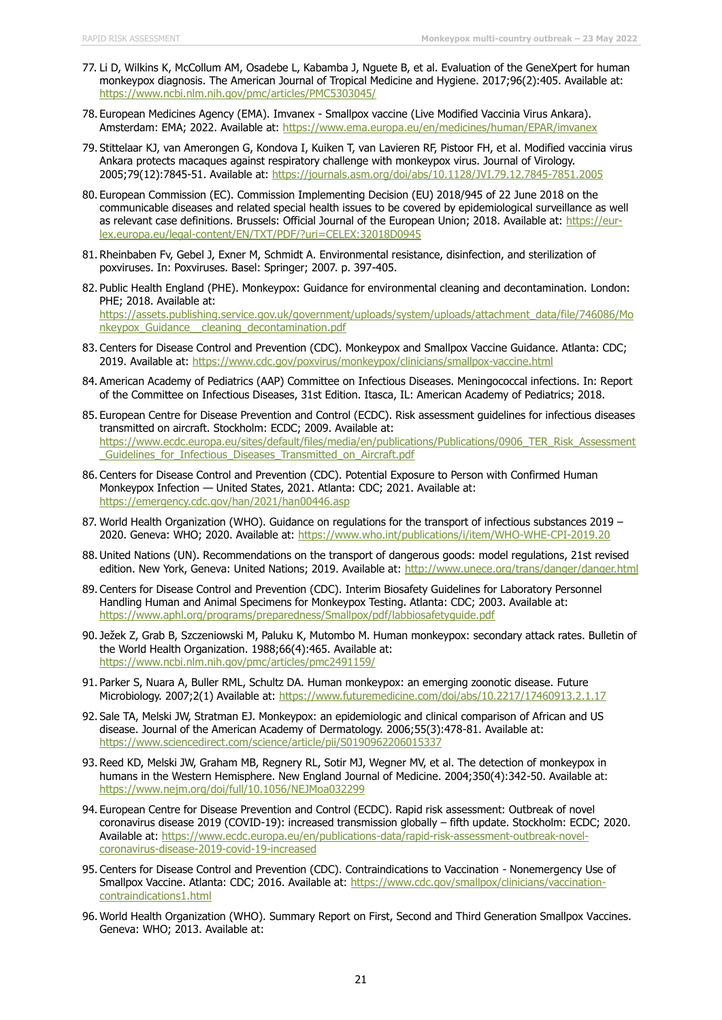- 77. Li D, Wilkins K, McCollum AM, Osadebe L, Kabamba J, Nguete B, et al. Evaluation of the GeneXpert for human monkeypox diagnosis. The American Journal of Tropical Medicine and Hygiene. 2017;96(2):405. Available at: <https://www.ncbi.nlm.nih.gov/pmc/articles/PMC5303045/>
- 78. European Medicines Agency (EMA). Imvanex Smallpox vaccine (Live Modified Vaccinia Virus Ankara). Amsterdam: EMA; 2022. Available at:<https://www.ema.europa.eu/en/medicines/human/EPAR/imvanex>
- 79. Stittelaar KJ, van Amerongen G, Kondova I, Kuiken T, van Lavieren RF, Pistoor FH, et al. Modified vaccinia virus Ankara protects macaques against respiratory challenge with monkeypox virus. Journal of Virology. 2005;79(12):7845-51. Available at:<https://journals.asm.org/doi/abs/10.1128/JVI.79.12.7845-7851.2005>
- 80. European Commission (EC). Commission Implementing Decision (EU) 2018/945 of 22 June 2018 on the communicable diseases and related special health issues to be covered by epidemiological surveillance as well as relevant case definitions. Brussels: Official Journal of the European Union; 2018. Available at: [https://eur](https://eur-lex.europa.eu/legal-content/EN/TXT/PDF/?uri=CELEX:32018D0945)[lex.europa.eu/legal-content/EN/TXT/PDF/?uri=CELEX:32018D0945](https://eur-lex.europa.eu/legal-content/EN/TXT/PDF/?uri=CELEX:32018D0945)
- 81. Rheinbaben Fv, Gebel J, Exner M, Schmidt A. Environmental resistance, disinfection, and sterilization of poxviruses. In: Poxviruses. Basel: Springer; 2007. p. 397-405.
- 82. Public Health England (PHE). Monkeypox: Guidance for environmental cleaning and decontamination. London: PHE; 2018. Available at: [https://assets.publishing.service.gov.uk/government/uploads/system/uploads/attachment\\_data/file/746086/Mo](https://assets.publishing.service.gov.uk/government/uploads/system/uploads/attachment_data/file/746086/Monkeypox_Guidance__cleaning_decontamination.pdf) [nkeypox\\_Guidance\\_\\_cleaning\\_decontamination.pdf](https://assets.publishing.service.gov.uk/government/uploads/system/uploads/attachment_data/file/746086/Monkeypox_Guidance__cleaning_decontamination.pdf)
- 83. Centers for Disease Control and Prevention (CDC). Monkeypox and Smallpox Vaccine Guidance. Atlanta: CDC; 2019. Available at:<https://www.cdc.gov/poxvirus/monkeypox/clinicians/smallpox-vaccine.html>
- 84. American Academy of Pediatrics (AAP) Committee on Infectious Diseases. Meningococcal infections. In: Report of the Committee on Infectious Diseases, 31st Edition. Itasca, IL: American Academy of Pediatrics; 2018.
- 85. European Centre for Disease Prevention and Control (ECDC). Risk assessment guidelines for infectious diseases transmitted on aircraft. Stockholm: ECDC; 2009. Available at: [https://www.ecdc.europa.eu/sites/default/files/media/en/publications/Publications/0906\\_TER\\_Risk\\_Assessment](https://www.ecdc.europa.eu/sites/default/files/media/en/publications/Publications/0906_TER_Risk_Assessment_Guidelines_for_Infectious_Diseases_Transmitted_on_Aircraft.pdf) [\\_Guidelines\\_for\\_Infectious\\_Diseases\\_Transmitted\\_on\\_Aircraft.pdf](https://www.ecdc.europa.eu/sites/default/files/media/en/publications/Publications/0906_TER_Risk_Assessment_Guidelines_for_Infectious_Diseases_Transmitted_on_Aircraft.pdf)
- 86. Centers for Disease Control and Prevention (CDC). Potential Exposure to Person with Confirmed Human Monkeypox Infection — United States, 2021. Atlanta: CDC; 2021. Available at: <https://emergency.cdc.gov/han/2021/han00446.asp>
- 87. World Health Organization (WHO). Guidance on regulations for the transport of infectious substances 2019 -2020. Geneva: WHO; 2020. Available at:<https://www.who.int/publications/i/item/WHO-WHE-CPI-2019.20>
- 88. United Nations (UN). Recommendations on the transport of dangerous goods: model regulations, 21st revised edition. New York, Geneva: United Nations; 2019. Available at:<http://www.unece.org/trans/danger/danger.html>
- 89. Centers for Disease Control and Prevention (CDC). Interim Biosafety Guidelines for Laboratory Personnel Handling Human and Animal Specimens for Monkeypox Testing. Atlanta: CDC; 2003. Available at: <https://www.aphl.org/programs/preparedness/Smallpox/pdf/labbiosafetyguide.pdf>
- 90. Ježek Z, Grab B, Szczeniowski M, Paluku K, Mutombo M. Human monkeypox: secondary attack rates. Bulletin of the World Health Organization. 1988;66(4):465. Available at: <https://www.ncbi.nlm.nih.gov/pmc/articles/pmc2491159/>
- 91. Parker S, Nuara A, Buller RML, Schultz DA. Human monkeypox: an emerging zoonotic disease. Future Microbiology. 2007;2(1) Available at:<https://www.futuremedicine.com/doi/abs/10.2217/17460913.2.1.17>
- 92. Sale TA, Melski JW, Stratman EJ. Monkeypox: an epidemiologic and clinical comparison of African and US disease. Journal of the American Academy of Dermatology. 2006;55(3):478-81. Available at: <https://www.sciencedirect.com/science/article/pii/S0190962206015337>
- 93. Reed KD, Melski JW, Graham MB, Regnery RL, Sotir MJ, Wegner MV, et al. The detection of monkeypox in humans in the Western Hemisphere. New England Journal of Medicine. 2004;350(4):342-50. Available at: <https://www.nejm.org/doi/full/10.1056/NEJMoa032299>
- 94. European Centre for Disease Prevention and Control (ECDC). Rapid risk assessment: Outbreak of novel coronavirus disease 2019 (COVID-19): increased transmission globally – fifth update. Stockholm: ECDC; 2020. Available at: [https://www.ecdc.europa.eu/en/publications-data/rapid-risk-assessment-outbreak-novel](https://www.ecdc.europa.eu/en/publications-data/rapid-risk-assessment-outbreak-novel-coronavirus-disease-2019-covid-19-increased)[coronavirus-disease-2019-covid-19-increased](https://www.ecdc.europa.eu/en/publications-data/rapid-risk-assessment-outbreak-novel-coronavirus-disease-2019-covid-19-increased)
- 95. Centers for Disease Control and Prevention (CDC). Contraindications to Vaccination Nonemergency Use of Smallpox Vaccine. Atlanta: CDC; 2016. Available at: [https://www.cdc.gov/smallpox/clinicians/vaccination](https://www.cdc.gov/smallpox/clinicians/vaccination-contraindications1.html)[contraindications1.html](https://www.cdc.gov/smallpox/clinicians/vaccination-contraindications1.html)
- 96. World Health Organization (WHO). Summary Report on First, Second and Third Generation Smallpox Vaccines. Geneva: WHO; 2013. Available at: